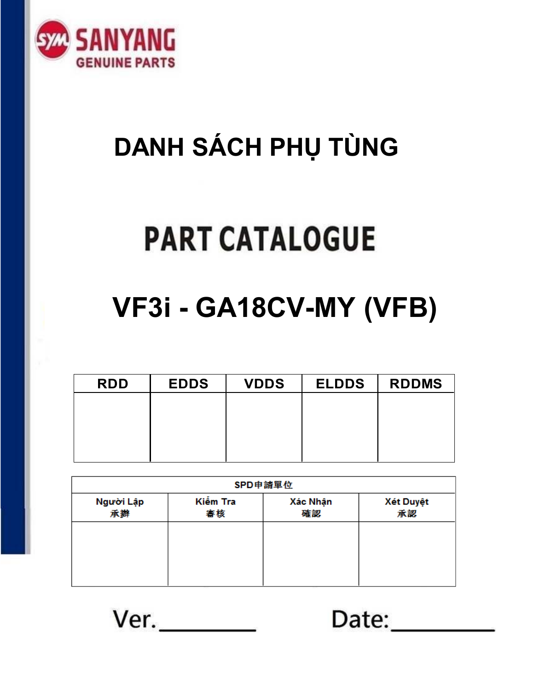

# **DANH SÁCH PHỤ TÙNG**

# **PART CATALOGUE**

# **VF3i - GA18CV-MY (VFB)**

| <b>RDD</b> | <b>EDDS</b> | <b>VDDS</b> | <b>ELDDS</b> | <b>RDDMS</b> |
|------------|-------------|-------------|--------------|--------------|
|            |             |             |              |              |
|            |             |             |              |              |
|            |             |             |              |              |
|            |             |             |              |              |

| SPD申請單位         |                |                |                        |  |  |  |  |
|-----------------|----------------|----------------|------------------------|--|--|--|--|
| Người Lập<br>承辦 | Kiểm Tra<br>審核 | Xác Nhận<br>確認 | <b>Xét Duyệt</b><br>承認 |  |  |  |  |
|                 |                |                |                        |  |  |  |  |
|                 |                |                |                        |  |  |  |  |
|                 |                |                |                        |  |  |  |  |

 $Ver.$ 

Date: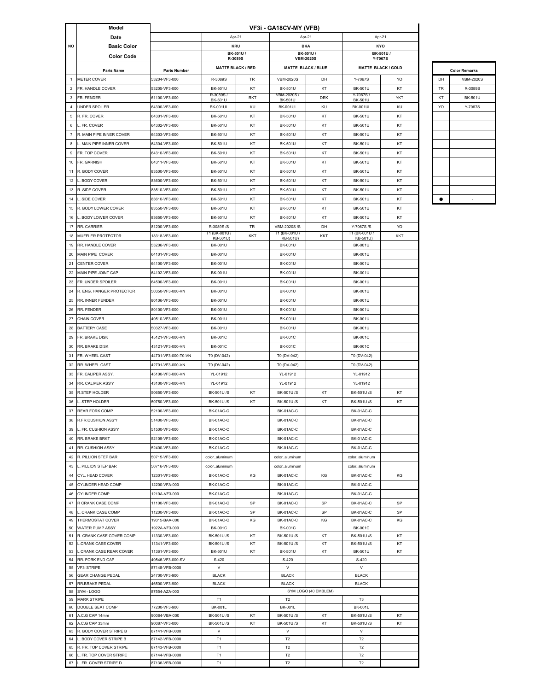|                | Model                                   |                                |                              |                          | VF3i - GA18CV-MY (VFB)             |                              |                             |          |    |                      |
|----------------|-----------------------------------------|--------------------------------|------------------------------|--------------------------|------------------------------------|------------------------------|-----------------------------|----------|----|----------------------|
|                | Date                                    |                                |                              | Apr-21                   |                                    | Apr-21                       | Apr-21                      |          |    |                      |
| NO             | <b>Basic Color</b>                      |                                |                              | <b>KRU</b>               |                                    | <b>BKA</b>                   | KYO                         |          |    |                      |
|                | <b>Color Code</b>                       |                                |                              | BK-501U/<br>R-3089S      |                                    | BK-501U/<br><b>VBM-2020S</b> | Y-7067S                     | BK-501U/ |    |                      |
|                |                                         |                                |                              | <b>MATTE BLACK / RED</b> |                                    | <b>MATTE BLACK/BLUE</b>      | <b>MATTE BLACK / GOLD</b>   |          |    |                      |
|                | Parts Name                              | <b>Parts Number</b>            |                              |                          |                                    |                              |                             |          |    | <b>Color Remarks</b> |
| $\mathbf{1}$   | <b>METER COVER</b>                      | 53204-VF3-000                  | R-3089S                      | <b>TR</b>                | <b>VBM-2020S</b>                   | DH                           | Y-7067S                     | YO       | DH | <b>VBM-2020S</b>     |
| $\overline{2}$ | FR. HANDLE COVER                        | 53205-VF3-000                  | <b>BK-501U</b>               | KT                       | <b>BK-501U</b>                     | KT                           | <b>BK-501U</b>              | KT       | TR | R-3089S              |
| $\mathbf{3}$   | FR. FENDER                              | 61100-VF3-000                  | R-3089S /<br><b>BK-501U</b>  | <b>RKT</b>               | VBM-2020S /<br><b>BK-501U</b>      | DEK                          | Y-7067S/<br><b>BK-501U</b>  | YKT      | KT | <b>BK-501U</b>       |
| $\overline{4}$ | <b>UNDER SPOILER</b>                    | 64300-VF3-000                  | <b>BK-001UL</b>              | KU                       | <b>BK-001UL</b>                    | KU                           | <b>BK-001UL</b>             | KU       | YO | Y-7067S              |
| 5              | R. FR. COVER                            | 64301-VF3-000                  | <b>BK-501U</b>               | KT                       | <b>BK-501U</b>                     | KT                           | <b>BK-501U</b>              | KT       |    |                      |
| 6              | L. FR. COVER                            | 64302-VF3-000                  | <b>BK-501U</b>               | KT                       | <b>BK-501U</b>                     | KT                           | <b>BK-501U</b>              | KT       |    |                      |
| $\overline{7}$ | R. MAIN PIPE INNER COVER                | 64303-VF3-000                  | <b>BK-501U</b>               | KT                       | <b>BK-501U</b>                     | KT                           | <b>BK-501U</b>              | KT       |    |                      |
| 8              | L. MAIN PIPE INNER COVER                | 64304-VF3-000                  | <b>BK-501U</b>               | KT                       | <b>BK-501U</b>                     | KT                           | <b>BK-501U</b>              | KT       |    |                      |
| 9              | FR. TOP COVER                           | 64310-VF3-000                  | <b>BK-501U</b>               | KT                       | <b>BK-501U</b>                     | KT                           | <b>BK-501U</b>              | KT       |    |                      |
| 10             | FR. GARNISH                             | 64311-VF3-000                  | <b>BK-501U</b>               | KT                       | <b>BK-501U</b>                     | KT                           | <b>BK-501U</b>              | KT       |    |                      |
| 11             | R. BODY COVER                           | 83500-VF3-000                  | <b>BK-501U</b>               | KT                       | <b>BK-501U</b>                     | KT                           | <b>BK-501U</b>              | KT       |    |                      |
| 12             | BODY COVER                              | 83600-VF3-000                  | <b>BK-501U</b>               | KT                       | <b>BK-501U</b>                     | KT                           | <b>BK-501U</b>              | KT       |    |                      |
| 13             | R. SIDE COVER                           | 83510-VF3-000                  | <b>BK-501U</b>               | KT                       | <b>BK-501U</b>                     | KT                           | <b>BK-501U</b>              | KT       |    |                      |
| 14             | L. SIDE COVER                           | 83610-VF3-000                  | <b>BK-501U</b>               | KT                       | <b>BK-501U</b>                     | KT                           | <b>BK-501U</b>              | KT       | ٠  |                      |
|                | R. BODY LOWER COVER                     |                                |                              | KT                       | <b>BK-501U</b>                     | KT                           | <b>BK-501U</b>              | KT       |    |                      |
| 15             |                                         | 83550-VF3-000                  | <b>BK-501U</b>               |                          |                                    |                              |                             |          |    |                      |
| 16             | L. BODY LOWER COVER                     | 83650-VF3-000                  | <b>BK-501U</b>               | KT                       | <b>BK-501U</b>                     | KT                           | <b>BK-501U</b>              | KT       |    |                      |
| 17             | RR. CARRIER                             | 81200-VF3-000                  | R-3089S /S<br>T1 (BK-001U/   | TR                       | <b>VBM-2020S/S</b><br>T1 (BK-001U/ | DH                           | Y-7067S /S<br>T1 (BK-001U / | YO       |    |                      |
| 18             | MUFFLER PROTECTOR                       | 18318-VF3-000                  | KB-501U)                     | KKT                      | KB-501U)                           | KKT                          | KB-501U)                    | KKT      |    |                      |
| 19             | RR. HANDLE COVER                        | 53206-VF3-000                  | <b>BK-001U</b>               |                          | <b>BK-001U</b>                     |                              | <b>BK-001U</b>              |          |    |                      |
| 20             | MAIN PIPE COVER                         | 64101-VF3-000                  | <b>BK-001U</b>               |                          | <b>BK-001U</b>                     |                              | <b>BK-001U</b>              |          |    |                      |
| 21             | <b>CENTER COVER</b>                     | 64100-VF3-000                  | <b>BK-001U</b>               |                          | <b>BK-001U</b>                     |                              | <b>BK-001U</b>              |          |    |                      |
| 22             | MAIN PIPE JOINT CAP                     | 64102-VF3-000                  | <b>BK-001U</b>               |                          | <b>BK-001U</b>                     |                              | <b>BK-001U</b>              |          |    |                      |
| 23             | FR. UNDER SPOILER                       | 64500-VF3-000                  | <b>BK-001U</b>               |                          | <b>BK-001U</b>                     |                              | <b>BK-001U</b>              |          |    |                      |
| 24             | R. ENG. HANGER PROTECTOR                | 50350-VF3-000-VN               | <b>BK-001U</b>               |                          | <b>BK-001U</b>                     |                              | <b>BK-001U</b>              |          |    |                      |
| 25             | RR. INNER FENDER                        | 80106-VF3-000                  | <b>BK-001U</b>               |                          | <b>BK-001U</b>                     |                              | <b>BK-001U</b>              |          |    |                      |
| 26             | RR. FENDER                              | 80100-VF3-000                  | <b>BK-001U</b>               |                          | <b>BK-001U</b>                     |                              | <b>BK-001U</b>              |          |    |                      |
| 27             | <b>CHAIN COVER</b>                      | 40510-VF3-000                  | <b>BK-001U</b>               |                          | <b>BK-001U</b>                     |                              | <b>BK-001U</b>              |          |    |                      |
| 28             | <b>BATTERY CASE</b>                     | 50327-VF3-000                  | <b>BK-001U</b>               |                          | <b>BK-001U</b>                     |                              | <b>BK-001U</b>              |          |    |                      |
| 29             | FR. BRAKE DISK                          | 45121-VF3-000-VN               | <b>BK-001C</b>               |                          | <b>BK-001C</b>                     |                              | <b>BK-001C</b>              |          |    |                      |
| 30             | RR. BRAKE DISK                          | 43121-VF3-000-VN               | <b>BK-001C</b>               |                          | <b>BK-001C</b>                     |                              | <b>BK-001C</b>              |          |    |                      |
| 31             | FR. WHEEL CAST                          | 44701-VF3-000-T0-VN            | T0 (DV-042)                  |                          | T0 (DV-042)                        |                              | T0 (DV-042)                 |          |    |                      |
| 32             | RR. WHEEL CAST                          | 42701-VF3-000-VN               | T0 (DV-042)                  |                          | T0 (DV-042)                        |                              | T0 (DV-042)                 |          |    |                      |
|                |                                         | 45100-VF3-000-VN               |                              |                          |                                    |                              |                             |          |    |                      |
| 33             | FR. CALIPER ASSY.                       |                                | YL-01912                     |                          | YL-01912                           |                              | YL-01912                    |          |    |                      |
| 34             | RR. CALIPER ASS'Y                       | 43100-VF3-000-VN               | YL-01912                     |                          | YL-01912                           |                              | YL-01912                    |          |    |                      |
| 35             | R.STEP HOLDER                           | 50650-VF3-000                  | BK-501U/S                    | KT                       | BK-501U/S                          | KT                           | BK-501U/S                   | KT       |    |                      |
| 36             | L. STEP HOLDER                          | 50750-VF3-000                  | BK-501U/S                    | KT                       | BK-501U/S                          | KT                           | <b>BK-501U/S</b>            | KT       |    |                      |
| 37             | <b>REAR FORK COMP</b>                   | 52100-VF3-000                  | BK-01AC-C                    |                          | BK-01AC-C                          |                              | BK-01AC-C                   |          |    |                      |
|                | 38 R.FR.CUSHION ASS'Y                   | 51400-VF3-000                  | BK-01AC-C                    |                          | BK-01AC-C                          |                              | BK-01AC-C                   |          |    |                      |
| 39             | L. FR. CUSHION ASS'Y                    | 51500-VF3-000                  | BK-01AC-C                    |                          | BK-01AC-C                          |                              | BK-01AC-C                   |          |    |                      |
| 40             | RR. BRAKE BRKT                          | 52105-VF3-000                  | BK-01AC-C                    |                          | BK-01AC-C                          |                              | BK-01AC-C                   |          |    |                      |
| 41             | RR. CUSHION ASSY                        | 52400-VF3-000                  | BK-01AC-C                    |                          | BK-01AC-C                          |                              | BK-01AC-C                   |          |    |                      |
| 42             | R. PILLION STEP BAR                     | 50715-VF3-000                  | coloraluminum                |                          | coloraluminum                      |                              | coloraluminum               |          |    |                      |
| 43             | L. PILLION STEP BAR                     | 50716-VF3-000                  | coloraluminum                |                          | coloraluminum                      |                              | coloraluminum               |          |    |                      |
| 44             | CYL. HEAD COVER                         | 12301-VF3-000                  | BK-01AC-C                    | KG                       | BK-01AC-C                          | KG                           | BK-01AC-C                   | KG       |    |                      |
| 45             | CYLINDER HEAD COMP                      | 12200-VFA-000                  | BK-01AC-C                    |                          | BK-01AC-C                          |                              | BK-01AC-C                   |          |    |                      |
| 46             | <b>CYLINDER COMP</b>                    | 1210A-VF3-000                  | BK-01AC-C                    |                          | BK-01AC-C                          |                              | BK-01AC-C                   |          |    |                      |
| 47             | R CRANK CASE COMP                       | 11100-VF3-000                  | BK-01AC-C                    | SP                       | BK-01AC-C                          | SP                           | BK-01AC-C                   | SP       |    |                      |
| 48             | L. CRANK CASE COMP                      | 11200-VF3-000                  | BK-01AC-C                    | SP                       | BK-01AC-C                          | SP                           | BK-01AC-C                   | SP       |    |                      |
| 49             | THERMOSTAT COVER                        | 19315-BAA-000                  | BK-01AC-C                    | KG                       | BK-01AC-C                          | KG                           | BK-01AC-C                   | KG       |    |                      |
| 50             | WATER PUMP ASSY                         | 1922A-VF3-000                  | <b>BK-001C</b>               |                          | <b>BK-001C</b>                     |                              | <b>BK-001C</b>              |          |    |                      |
| 51             | R. CRANK CASE COVER COMP                | 11330-VF3-000                  | BK-501U/S                    | KT                       | BK-501U/S                          | KT                           | BK-501U/S                   | KT       |    |                      |
| 52             | <b>L.CRANK CASE COVER</b>               | 11341-VF3-000                  | BK-501U/S                    | KT                       | BK-501U/S                          | KT                           | BK-501U/S                   | KT       |    |                      |
| 53             | L CRANK CASE REAR COVER                 | 11361-VF3-000                  | <b>BK-501U</b>               | KT                       | <b>BK-501U</b>                     | KT                           | <b>BK-501U</b>              | KT       |    |                      |
| 54             | RR. FORK END CAP                        | 40546-VF3-000-SV               | S-420                        |                          | S-420                              |                              | S-420                       |          |    |                      |
| 55<br>56       | VF3i STRIPE<br><b>GEAR CHANGE PEDAL</b> | 87148-VFB-0000                 | $\lor$                       |                          | $\vee$<br><b>BLACK</b>             |                              | $\lor$<br><b>BLACK</b>      |          |    |                      |
| 57             | RR.BRAKE PEDAL                          | 24700-VF3-900<br>46500-VF3-900 | <b>BLACK</b><br><b>BLACK</b> |                          | <b>BLACK</b>                       |                              | <b>BLACK</b>                |          |    |                      |
| 58             | SYM-LOGO                                | 87554-AZA-000                  |                              |                          |                                    | SYM LOGO (40 EMBLEM)         |                             |          |    |                      |
| 59             | <b>MARK STRIPE</b>                      |                                | T <sub>1</sub>               |                          | T <sub>2</sub>                     |                              | T3                          |          |    |                      |
| 60             | DOUBLE SEAT COMP                        | 77200-VF3-900                  | <b>BK-001L</b>               |                          | <b>BK-001L</b>                     |                              | <b>BK-001L</b>              |          |    |                      |
| 61             | A.C.G CAP 14mm                          | 90084-VBA-000                  | BK-501U/S                    | KT                       | BK-501U/S                          | KT                           | BK-501U/S                   | KT       |    |                      |
| 62             | A.C.G CAP 33mm                          | 90087-VF3-000                  | BK-501U/S                    | KT                       | BK-501U/S                          | KT                           | BK-501U/S                   | KT       |    |                      |
| 63             | R. BODY COVER STRIPE B                  | 87141-VFB-0000                 | V                            |                          | V                                  |                              | V                           |          |    |                      |
| 64             | L. BODY COVER STRIPE B                  | 87142-VFB-0000                 | T <sub>1</sub>               |                          | T <sub>2</sub>                     |                              | T <sub>2</sub>              |          |    |                      |
| 65             | R. FR. TOP COVER STRIPE                 | 87143-VFB-0000                 | T <sub>1</sub>               |                          | T <sub>2</sub>                     |                              | T <sub>2</sub>              |          |    |                      |
| 66             | L. FR. TOP COVER STRIPE                 | 87144-VFB-0000                 | T <sub>1</sub>               |                          | T2                                 |                              | T <sub>2</sub>              |          |    |                      |
| 67             | L. FR. COVER STRIPE D                   | 87136-VFB-0000                 | T <sub>1</sub>               |                          | T2                                 |                              | T <sub>2</sub>              |          |    |                      |

| <b>Color Remarks</b> |                  |  |  |  |
|----------------------|------------------|--|--|--|
|                      |                  |  |  |  |
| DH                   | <b>VBM-2020S</b> |  |  |  |
| <b>TR</b>            | R-3089S          |  |  |  |
| KT                   | <b>BK-501U</b>   |  |  |  |
| YO                   | Y-7067S          |  |  |  |
|                      |                  |  |  |  |
|                      |                  |  |  |  |
|                      |                  |  |  |  |
|                      |                  |  |  |  |
|                      |                  |  |  |  |
|                      |                  |  |  |  |
|                      |                  |  |  |  |
|                      |                  |  |  |  |
|                      |                  |  |  |  |
|                      | ٠                |  |  |  |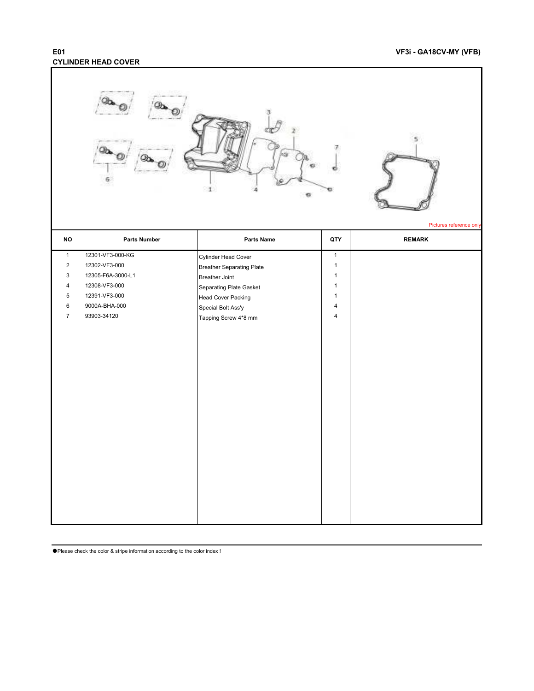### **E01 VF3i - GA18CV-MY (VFB) CYLINDER HEAD COVER**

|                         |                     | $\mathbf 1$<br>e          |                | Pictures reference only |
|-------------------------|---------------------|---------------------------|----------------|-------------------------|
| <b>NO</b>               | <b>Parts Number</b> | Parts Name                | QTY            | <b>REMARK</b>           |
| $\mathbf{1}$            | 12301-VF3-000-KG    | Cylinder Head Cover       | $\mathbf 1$    |                         |
| $\overline{2}$          | 12302-VF3-000       | Breather Separating Plate | $\mathbf{1}$   |                         |
| 3                       | 12305-F6A-3000-L1   | <b>Breather Joint</b>     | $\mathbf{1}$   |                         |
| $\overline{\mathbf{4}}$ | 12308-VF3-000       | Separating Plate Gasket   | $\mathbf{1}$   |                         |
| $\,$ 5 $\,$             | 12391-VF3-000       | Head Cover Packing        | $\mathbf{1}$   |                         |
| 6                       | 9000A-BHA-000       | Special Bolt Ass'y        | $\overline{4}$ |                         |
| $\boldsymbol{7}$        | 93903-34120         | Tapping Screw 4*8 mm      | $\overline{4}$ |                         |
|                         |                     |                           |                |                         |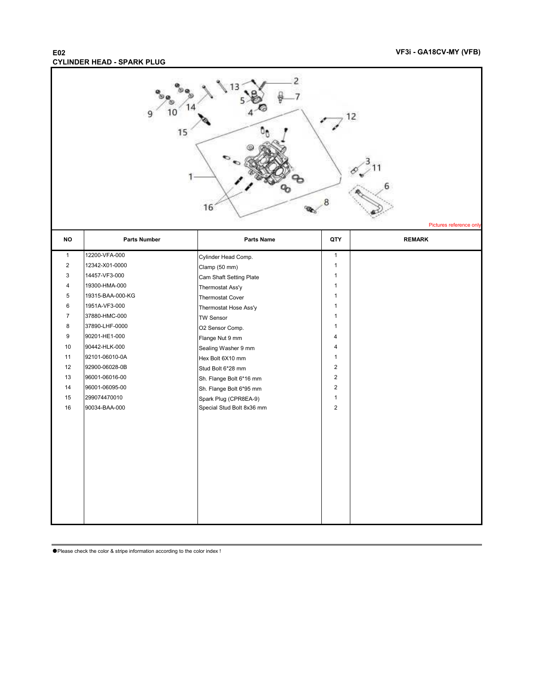### **E02 VF3i - GA18CV-MY (VFB) CYLINDER HEAD - SPARK PLUG**

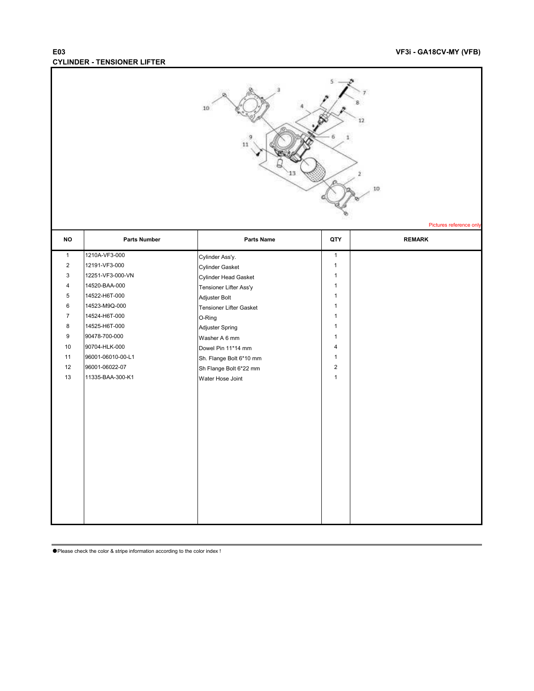### **E03 VF3i - GA18CV-MY (VFB) CYLINDER - TENSIONER LIFTER**

|                         |                     | 10<br>11                |                | 12<br>ź<br>10<br>Pictures reference only |
|-------------------------|---------------------|-------------------------|----------------|------------------------------------------|
| <b>NO</b>               | <b>Parts Number</b> | Parts Name              | QTY            | <b>REMARK</b>                            |
| $\mathbf{1}$            | 1210A-VF3-000       | Cylinder Ass'y.         | $\mathbf{1}$   |                                          |
| $\overline{2}$          | 12191-VF3-000       | Cylinder Gasket         | $\mathbf{1}$   |                                          |
| 3                       | 12251-VF3-000-VN    | Cylinder Head Gasket    | $\mathbf{1}$   |                                          |
| $\overline{\mathbf{4}}$ | 14520-BAA-000       | Tensioner Lifter Ass'y  | $\mathbf{1}$   |                                          |
| 5                       | 14522-H6T-000       | Adjuster Bolt           | $\mathbf{1}$   |                                          |
| 6                       | 14523-M9Q-000       | Tensioner Lifter Gasket | $\mathbf{1}$   |                                          |
| $\overline{7}$          | 14524-H6T-000       | O-Ring                  | $\mathbf{1}$   |                                          |
| 8                       | 14525-H6T-000       | Adjuster Spring         | $\mathbf{1}$   |                                          |
| 9                       | 90478-700-000       | Washer A 6 mm           | $\mathbf{1}$   |                                          |
| 10                      | 90704-HLK-000       | Dowel Pin 11*14 mm      | $\overline{4}$ |                                          |
| 11                      | 96001-06010-00-L1   | Sh. Flange Bolt 6*10 mm | $\mathbf{1}$   |                                          |
| 12                      | 96001-06022-07      | Sh Flange Bolt 6*22 mm  | $\overline{c}$ |                                          |
| 13                      | 11335-BAA-300-K1    | Water Hose Joint        | $\mathbf{1}$   |                                          |
|                         |                     |                         |                |                                          |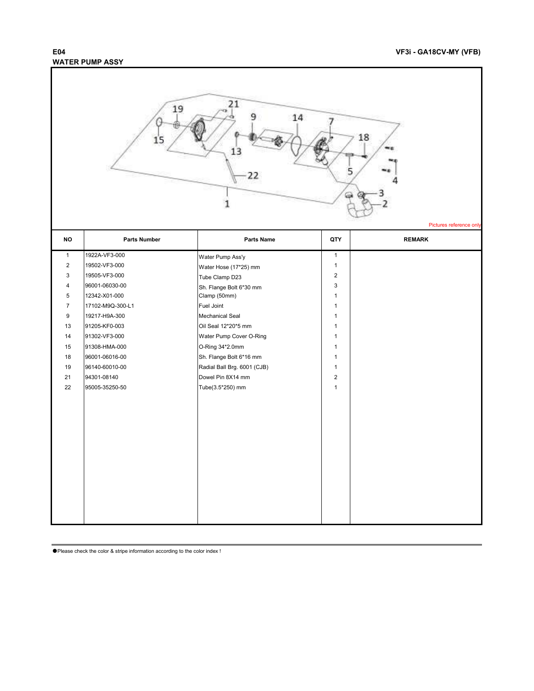## **WATER PUMP ASSY**

ī

| 21<br>19<br>14<br>18<br>15<br>1<br>5<br>22<br>Pictures reference only |                     |                             |                |               |  |
|-----------------------------------------------------------------------|---------------------|-----------------------------|----------------|---------------|--|
| <b>NO</b>                                                             | <b>Parts Number</b> | Parts Name                  | QTY            | <b>REMARK</b> |  |
| $\mathbf{1}$                                                          | 1922A-VF3-000       | Water Pump Ass'y            | $\mathbf{1}$   |               |  |
| $\overline{c}$                                                        | 19502-VF3-000       | Water Hose (17*25) mm       | $\mathbf{1}$   |               |  |
| 3                                                                     | 19505-VF3-000       | Tube Clamp D23              | $\overline{2}$ |               |  |
| 4                                                                     | 96001-06030-00      | Sh. Flange Bolt 6*30 mm     | 3              |               |  |
| 5                                                                     | 12342-X01-000       | Clamp (50mm)                | $\mathbf{1}$   |               |  |
| $\overline{7}$                                                        | 17102-M9Q-300-L1    | Fuel Joint                  | $\mathbf{1}$   |               |  |
| 9                                                                     | 19217-H9A-300       | <b>Mechanical Seal</b>      | $\mathbf{1}$   |               |  |
| 13                                                                    | 91205-KF0-003       | Oil Seal 12*20*5 mm         | $\mathbf{1}$   |               |  |
| 14                                                                    | 91302-VF3-000       | Water Pump Cover O-Ring     | $\mathbf{1}$   |               |  |
| 15                                                                    | 91308-HMA-000       | O-Ring 34*2.0mm             | $\mathbf{1}$   |               |  |
| $18$                                                                  | 96001-06016-00      | Sh. Flange Bolt 6*16 mm     | $\mathbf{1}$   |               |  |
| 19                                                                    | 96140-60010-00      | Radial Ball Brg. 6001 (CJB) | $\mathbf{1}$   |               |  |
| 21                                                                    | 94301-08140         | Dowel Pin 8X14 mm           | $\overline{2}$ |               |  |
| 22                                                                    | 95005-35250-50      | Tube(3.5*250) mm            | $\mathbf{1}$   |               |  |
|                                                                       |                     |                             |                |               |  |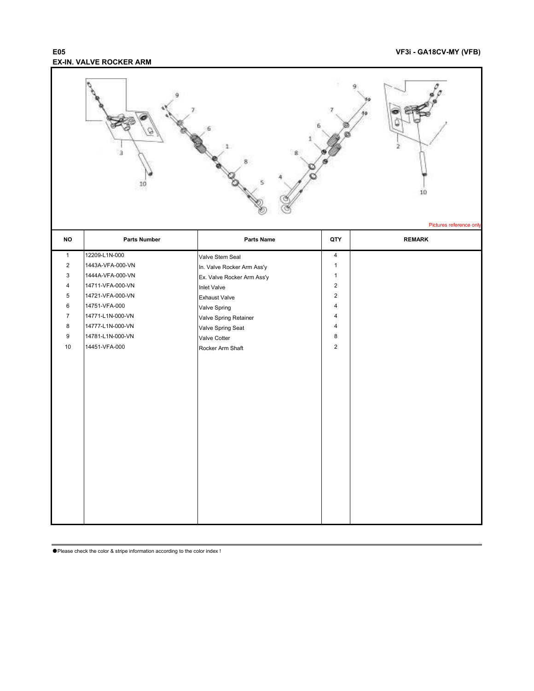### **E05 VF3i - GA18CV-MY (VFB) EX-IN. VALVE ROCKER ARM**

|                                |                                   |                                       |                                | 2<br>10<br>Pictures reference only |
|--------------------------------|-----------------------------------|---------------------------------------|--------------------------------|------------------------------------|
| <b>NO</b>                      | <b>Parts Number</b>               | Parts Name                            | QTY                            | <b>REMARK</b>                      |
| $\mathbf{1}$<br>$\overline{2}$ | 12209-L1N-000<br>1443A-VFA-000-VN | Valve Stem Seal                       | $\overline{4}$<br>$\mathbf{1}$ |                                    |
| 3                              | 1444A-VFA-000-VN                  | In. Valve Rocker Arm Ass'y            | $\mathbf{1}$                   |                                    |
| 4                              | 14711-VFA-000-VN                  | Ex. Valve Rocker Arm Ass'y            | $\overline{c}$                 |                                    |
| $\mathbf 5$                    | 14721-VFA-000-VN                  | <b>Inlet Valve</b>                    | $\overline{2}$                 |                                    |
| $\,6\,$                        | 14751-VFA-000                     | <b>Exhaust Valve</b>                  | 4                              |                                    |
| $\overline{7}$                 | 14771-L1N-000-VN                  | Valve Spring<br>Valve Spring Retainer | 4                              |                                    |
| $\bf 8$                        | 14777-L1N-000-VN                  | Valve Spring Seat                     | 4                              |                                    |
| 9                              | 14781-L1N-000-VN                  | <b>Valve Cotter</b>                   | 8                              |                                    |
| 10                             | 14451-VFA-000                     | Rocker Arm Shaft                      | $\overline{2}$                 |                                    |
|                                |                                   |                                       |                                |                                    |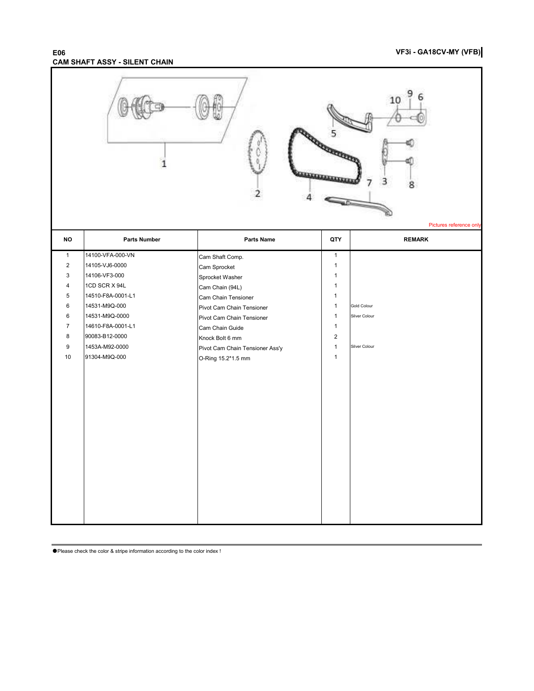### **E06 VF3i - GA18CV-MY (VFB) CAM SHAFT ASSY - SILENT CHAIN**

|                         |                     |                                 |              | 10<br>Pictures reference only |
|-------------------------|---------------------|---------------------------------|--------------|-------------------------------|
| NO                      | <b>Parts Number</b> | <b>Parts Name</b>               | QTY          | <b>REMARK</b>                 |
| $\mathbf{1}$            | 14100-VFA-000-VN    | Cam Shaft Comp.                 | $\mathbf{1}$ |                               |
| $\overline{\mathbf{c}}$ | 14105-VJ6-0000      | Cam Sprocket                    | $\mathbf{1}$ |                               |
| 3                       | 14106-VF3-000       | Sprocket Washer                 | $\mathbf{1}$ |                               |
| 4                       | 1CD SCR X 94L       | Cam Chain (94L)                 | $\mathbf{1}$ |                               |
| 5                       | 14510-F8A-0001-L1   | Cam Chain Tensioner             | $\mathbf{1}$ |                               |
| 6                       | 14531-M9Q-000       | Pivot Cam Chain Tensioner       | $\mathbf{1}$ | <b>Gold Colour</b>            |
| 6                       | 14531-M9Q-0000      | Pivot Cam Chain Tensioner       | $\mathbf{1}$ | Silver Colour                 |
| 7                       | 14610-F8A-0001-L1   | Cam Chain Guide                 | $\mathbf{1}$ |                               |
| 8                       | 90083-B12-0000      | Knock Bolt 6 mm                 | $\sqrt{2}$   |                               |
| 9                       | 1453A-M92-0000      | Pivot Cam Chain Tensioner Ass'y | $\mathbf{1}$ | Silver Colour                 |
| 10                      | 91304-M9Q-000       | O-Ring 15.2*1.5 mm              | $\mathbf{1}$ |                               |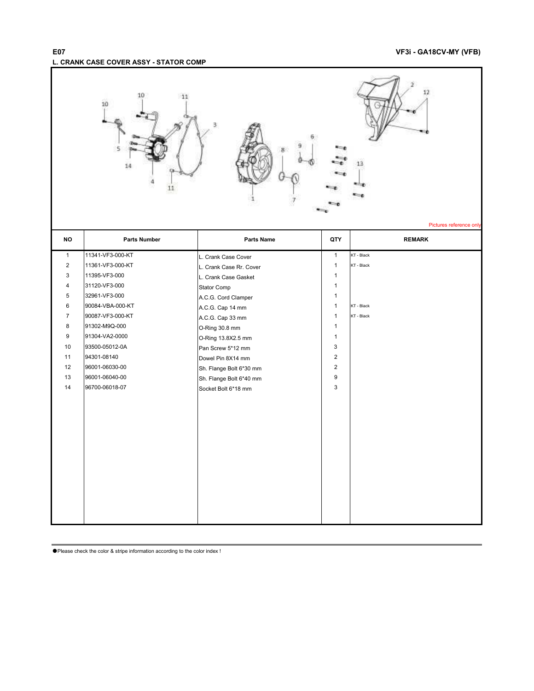## **E07 VF3i - GA18CV-MY (VFB) L. CRANK CASE COVER ASSY - STATOR COMP**

ī

|                | 10<br>11<br>10<br>14<br>11 | 3                       |                | Pictures reference only |
|----------------|----------------------------|-------------------------|----------------|-------------------------|
| <b>NO</b>      | <b>Parts Number</b>        | Parts Name              | QTY            | <b>REMARK</b>           |
| $\mathbf{1}$   | 11341-VF3-000-KT           | L. Crank Case Cover     | $\mathbf{1}$   | KT - Black              |
| $\overline{c}$ | 11361-VF3-000-KT           | L. Crank Case Rr. Cover | $\mathbf{1}$   | KT - Black              |
| 3              | 11395-VF3-000              | L. Crank Case Gasket    | $\mathbf{1}$   |                         |
| 4              | 31120-VF3-000              | Stator Comp             | $\mathbf{1}$   |                         |
| 5              | 32961-VF3-000              | A.C.G. Cord Clamper     | $\mathbf{1}$   |                         |
| 6              | 90084-VBA-000-KT           | A.C.G. Cap 14 mm        | $\mathbf{1}$   | KT - Black              |
| $\overline{7}$ | 90087-VF3-000-KT           | A.C.G. Cap 33 mm        | $\mathbf{1}$   | KT - Black              |
| 8              | 91302-M9Q-000              | O-Ring 30.8 mm          | $\mathbf{1}$   |                         |
| 9              | 91304-VA2-0000             | O-Ring 13.8X2.5 mm      | $\mathbf{1}$   |                         |
| 10             | 93500-05012-0A             | Pan Screw 5*12 mm       | 3              |                         |
| 11             | 94301-08140                | Dowel Pin 8X14 mm       | $\overline{2}$ |                         |
| 12             | 96001-06030-00             | Sh. Flange Bolt 6*30 mm | $\overline{2}$ |                         |
| 13             | 96001-06040-00             | Sh. Flange Bolt 6*40 mm | 9              |                         |
| 14             | 96700-06018-07             | Socket Bolt 6*18 mm     | 3              |                         |
|                |                            |                         |                |                         |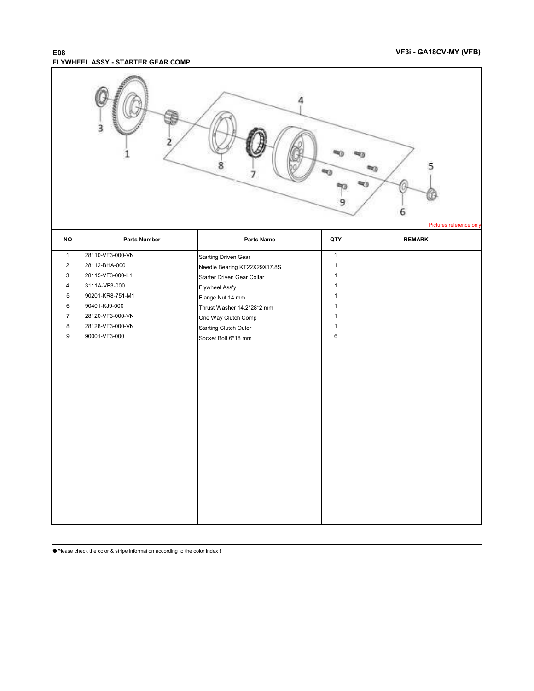#### **E08 VF3i - GA18CV-MY (VFB) FLYWHEEL ASSY - STARTER GEAR COMP**

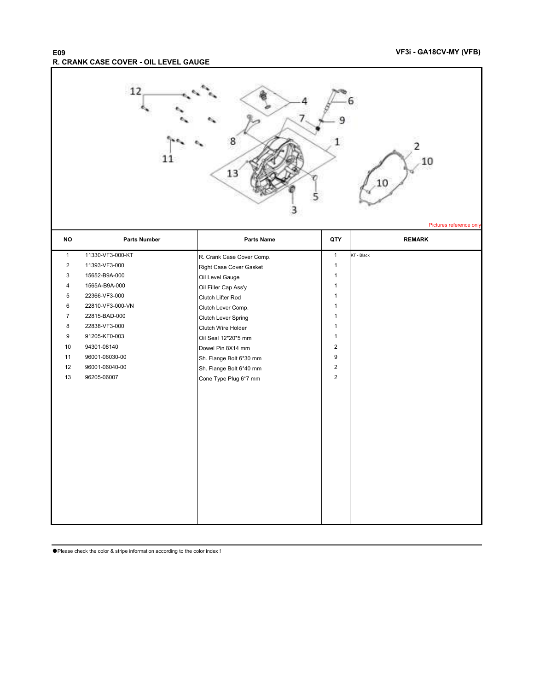#### **E09 VF3i - GA18CV-MY (VFB) R. CRANK CASE COVER - OIL LEVEL GAUGE**

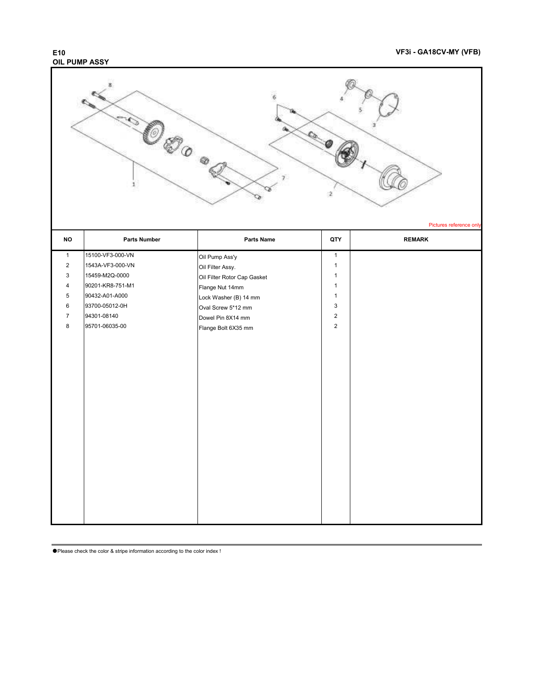## **OIL PUMP ASSY**

### **E10 VF3i - GA18CV-MY (VFB)**

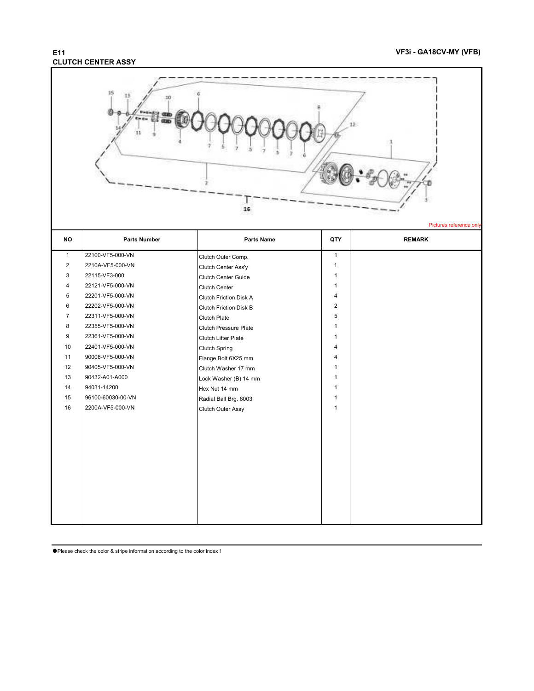## **CLUTCH CENTER ASSY**

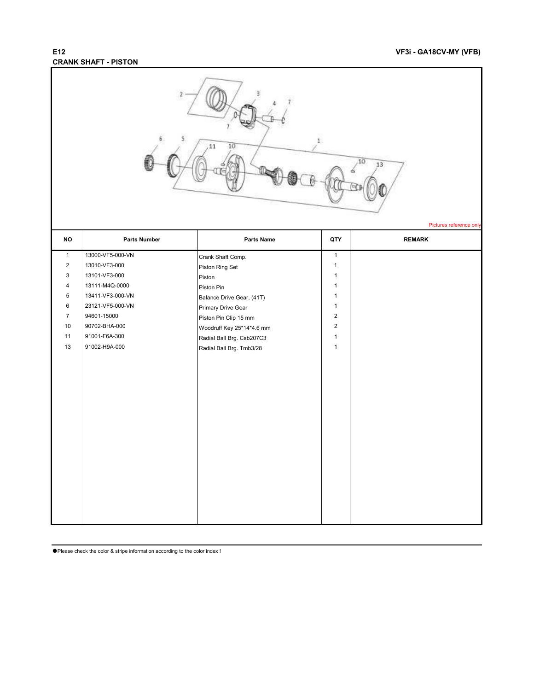## **CRANK SHAFT - PISTON**

| $\bar{\Sigma}$<br>11<br>10<br>10<br>13<br>Pictures reference only                                                                              |                                                                                                                                                                                |                                                                                                                                                                                                                                |                                                                                                                                                                  |               |  |
|------------------------------------------------------------------------------------------------------------------------------------------------|--------------------------------------------------------------------------------------------------------------------------------------------------------------------------------|--------------------------------------------------------------------------------------------------------------------------------------------------------------------------------------------------------------------------------|------------------------------------------------------------------------------------------------------------------------------------------------------------------|---------------|--|
| <b>NO</b>                                                                                                                                      | <b>Parts Number</b>                                                                                                                                                            | Parts Name                                                                                                                                                                                                                     | QTY                                                                                                                                                              | <b>REMARK</b> |  |
| $\mathbf{1}$<br>$\overline{2}$<br>$\ensuremath{\mathsf{3}}$<br>$\overline{4}$<br>$\overline{5}$<br>$\,6\,$<br>$\overline{7}$<br>10<br>11<br>13 | 13000-VF5-000-VN<br>13010-VF3-000<br>13101-VF3-000<br>13111-M4Q-0000<br>13411-VF3-000-VN<br>23121-VF5-000-VN<br>94601-15000<br>90702-BHA-000<br>91001-F6A-300<br>91002-H9A-000 | Crank Shaft Comp.<br>Piston Ring Set<br>Piston<br>Piston Pin<br>Balance Drive Gear, (41T)<br>Primary Drive Gear<br>Piston Pin Clip 15 mm<br>Woodruff Key 25*14*4.6 mm<br>Radial Ball Brg. Csb207C3<br>Radial Ball Brg. Tmb3/28 | $\mathbf{1}$<br>$\mathbf{1}$<br>$\mathbf{1}$<br>$\mathbf{1}$<br>$\mathbf{1}$<br>$\mathbf{1}$<br>$\overline{2}$<br>$\overline{2}$<br>$\mathbf{1}$<br>$\mathbf{1}$ |               |  |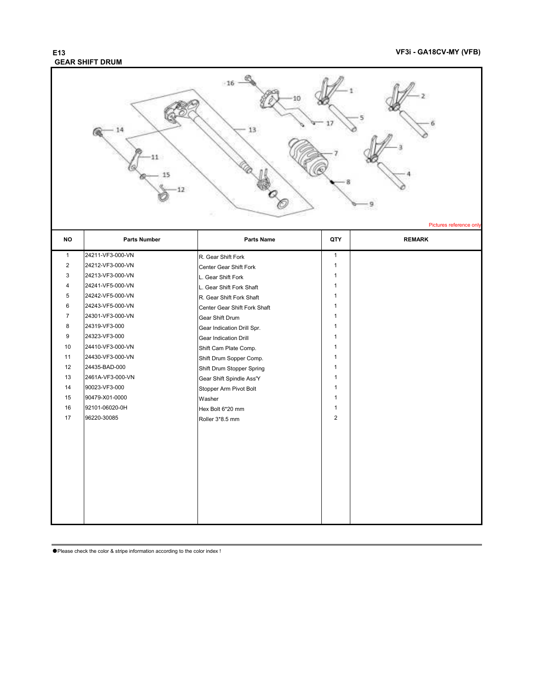## **GEAR SHIFT DRUM**

### **E13 VF3i - GA18CV-MY (VFB)**



| <b>NO</b>      | <b>Parts Number</b> | <b>Parts Name</b>            | QTY            | <b>REMARK</b> |
|----------------|---------------------|------------------------------|----------------|---------------|
| $\mathbf{1}$   | 24211-VF3-000-VN    | R. Gear Shift Fork           | $\mathbf{1}$   |               |
| 2              | 24212-VF3-000-VN    | Center Gear Shift Fork       | 1              |               |
| 3              | 24213-VF3-000-VN    | L. Gear Shift Fork           | 1              |               |
| 4              | 24241-VF5-000-VN    | L. Gear Shift Fork Shaft     | 1              |               |
| 5              | 24242-VF5-000-VN    | R. Gear Shift Fork Shaft     | 1              |               |
| 6              | 24243-VF5-000-VN    | Center Gear Shift Fork Shaft | 1              |               |
| $\overline{7}$ | 24301-VF3-000-VN    | Gear Shift Drum              | 1              |               |
| 8              | 24319-VF3-000       | Gear Indication Drill Spr.   | $\mathbf{1}$   |               |
| 9              | 24323-VF3-000       | <b>Gear Indication Drill</b> | 1              |               |
| 10             | 24410-VF3-000-VN    | Shift Cam Plate Comp.        | 1              |               |
| 11             | 24430-VF3-000-VN    | Shift Drum Sopper Comp.      | 1              |               |
| 12             | 24435-BAD-000       | Shift Drum Stopper Spring    | 1              |               |
| 13             | 2461A-VF3-000-VN    | Gear Shift Spindle Ass'Y     | 1              |               |
| 14             | 90023-VF3-000       | Stopper Arm Pivot Bolt       | 1              |               |
| 15             | 90479-X01-0000      | Washer                       | 1              |               |
| 16             | 92101-06020-0H      | Hex Bolt 6*20 mm             | $\mathbf{1}$   |               |
| 17             | 96220-30085         | Roller 3*8.5 mm              | $\overline{2}$ |               |
|                |                     |                              |                |               |
|                |                     |                              |                |               |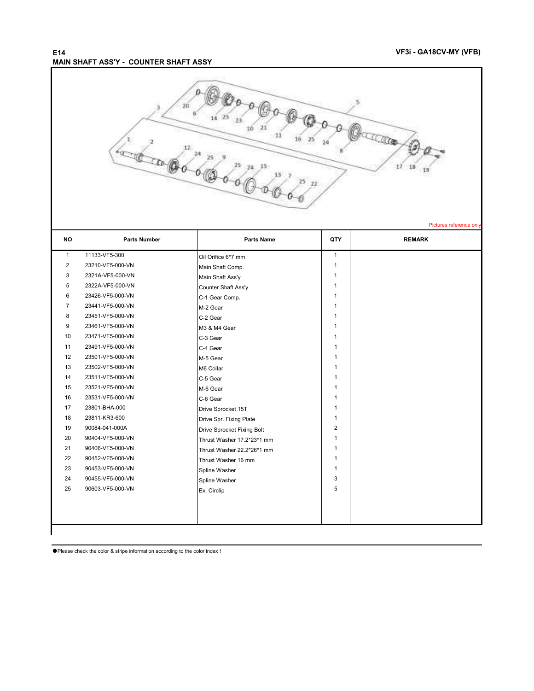### **E14 VF3i - GA18CV-MY (VFB) MAIN SHAFT ASS'Y - COUNTER SHAFT ASSY**



Pictures reference on

| <b>NO</b>    | <b>Parts Number</b> | Parts Name                 | QTY            | <b>REMARK</b> |
|--------------|---------------------|----------------------------|----------------|---------------|
| $\mathbf{1}$ | 11133-VF5-300       | Oil Orifice 6*7 mm         | $\mathbf{1}$   |               |
| 2            | 23210-VF5-000-VN    | Main Shaft Comp.           | $\mathbf{1}$   |               |
| 3            | 2321A-VF5-000-VN    | Main Shaft Ass'y           | $\mathbf{1}$   |               |
| 5            | 2322A-VF5-000-VN    | Counter Shaft Ass'y        | $\mathbf{1}$   |               |
| 6            | 23426-VF5-000-VN    | C-1 Gear Comp.             | 1              |               |
| 7            | 23441-VF5-000-VN    | M-2 Gear                   | 1              |               |
| 8            | 23451-VF5-000-VN    | C-2 Gear                   | 1              |               |
| 9            | 23461-VF5-000-VN    | M3 & M4 Gear               | $\mathbf{1}$   |               |
| 10           | 23471-VF5-000-VN    | C-3 Gear                   | 1              |               |
| 11           | 23491-VF5-000-VN    | C-4 Gear                   | $\mathbf{1}$   |               |
| 12           | 23501-VF5-000-VN    | M-5 Gear                   | $\mathbf{1}$   |               |
| 13           | 23502-VF5-000-VN    | M6 Collar                  | $\mathbf{1}$   |               |
| 14           | 23511-VF5-000-VN    | C-5 Gear                   | 1              |               |
| 15           | 23521-VF5-000-VN    | M-6 Gear                   | $\mathbf{1}$   |               |
| 16           | 23531-VF5-000-VN    | C-6 Gear                   | $\mathbf{1}$   |               |
| 17           | 23801-BHA-000       | Drive Sprocket 15T         | 1              |               |
| 18           | 23811-KR3-600       | Drive Spr. Fixing Plate    | $\mathbf{1}$   |               |
| 19           | 90084-041-000A      | Drive Sprocket Fixing Bolt | $\overline{2}$ |               |
| 20           | 90404-VF5-000-VN    | Thrust Washer 17.2*23*1 mm | 1              |               |
| 21           | 90406-VF5-000-VN    | Thrust Washer 22.2*26*1 mm | 1              |               |
| 22           | 90452-VF5-000-VN    | Thrust Washer 16 mm        | $\mathbf{1}$   |               |
| 23           | 90453-VF5-000-VN    | Spline Washer              | $\mathbf{1}$   |               |
| 24           | 90455-VF5-000-VN    | Spline Washer              | 3              |               |
| 25           | 90603-VF5-000-VN    | Ex. Circlip                | 5              |               |
|              |                     |                            |                |               |
|              |                     |                            |                |               |
|              |                     |                            |                |               |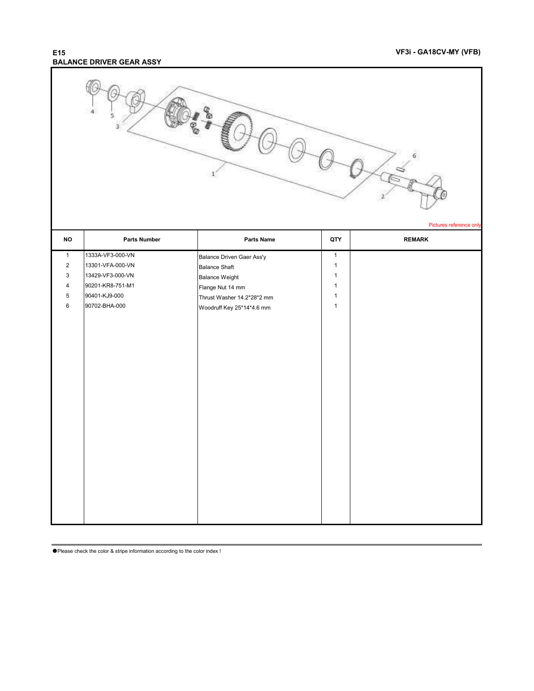### **E15 VF3i - GA18CV-MY (VFB) BALANCE DRIVER GEAR ASSY**

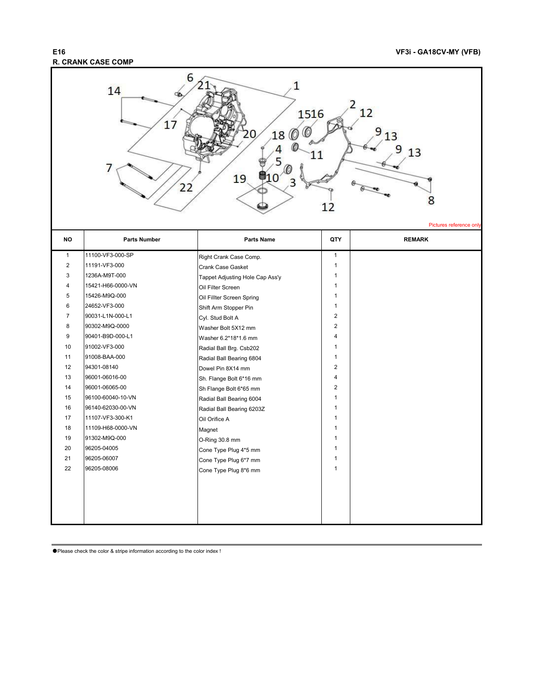## **R. CRANK CASE COMP**



| $\mathbf{1}$   | 11100-VF3-000-SP  | Right Crank Case Comp.          | $\mathbf{1}$   |  |
|----------------|-------------------|---------------------------------|----------------|--|
| $\overline{c}$ | 11191-VF3-000     | Crank Case Gasket               | $\mathbf{1}$   |  |
| 3              | 1236A-M9T-000     | Tappet Adjusting Hole Cap Ass'y | 1              |  |
| 4              | 15421-H66-0000-VN | Oil Filter Screen               | 1              |  |
| 5              | 15426-M9Q-000     | Oil Fillter Screen Spring       | $\mathbf{1}$   |  |
| 6              | 24652-VF3-000     | Shift Arm Stopper Pin           | 1              |  |
| 7              | 90031-L1N-000-L1  | Cyl. Stud Bolt A                | $\overline{2}$ |  |
| 8              | 90302-M9Q-0000    | Washer Bolt 5X12 mm             | $\overline{2}$ |  |
| 9              | 90401-B9D-000-L1  | Washer 6.2*18*1.6 mm            | 4              |  |
| 10             | 91002-VF3-000     | Radial Ball Brg. Csb202         | 1              |  |
| 11             | 91008-BAA-000     | Radial Ball Bearing 6804        | 1              |  |
| 12             | 94301-08140       | Dowel Pin 8X14 mm               | 2              |  |
| 13             | 96001-06016-00    | Sh. Flange Bolt 6*16 mm         | 4              |  |
| 14             | 96001-06065-00    | Sh Flange Bolt 6*65 mm          | $\overline{2}$ |  |
| 15             | 96100-60040-10-VN | Radial Ball Bearing 6004        | 1              |  |
| 16             | 96140-62030-00-VN | Radial Ball Bearing 6203Z       | 1              |  |
| 17             | 11107-VF3-300-K1  | Oil Orifice A                   | 1              |  |
| 18             | 11109-H68-0000-VN | Magnet                          | 1              |  |
| 19             | 91302-M9Q-000     | O-Ring 30.8 mm                  | $\mathbf{1}$   |  |
| 20             | 96205-04005       | Cone Type Plug 4*5 mm           | 1              |  |
| 21             | 96205-06007       | Cone Type Plug 6*7 mm           | 1              |  |
| 22             | 96205-08006       | Cone Type Plug 8*6 mm           | 1              |  |
|                |                   |                                 |                |  |
|                |                   |                                 |                |  |
|                |                   |                                 |                |  |
|                |                   |                                 |                |  |
|                |                   |                                 |                |  |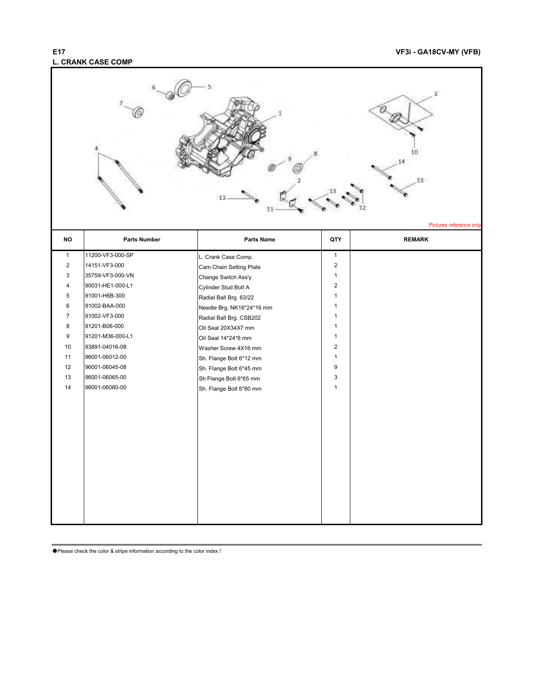## **L. CRANK CASE COMP**

### **E17 VF3i - GA18CV-MY (VFB)**

|                |                     |                           |                | x<br>10<br>13<br>Pictures reference only |
|----------------|---------------------|---------------------------|----------------|------------------------------------------|
| <b>NO</b>      | <b>Parts Number</b> | <b>Parts Name</b>         | QTY            | <b>REMARK</b>                            |
| $\mathbf{1}$   | 11200-VF3-000-SP    | L. Crank Case Comp.       | $\mathbf{1}$   |                                          |
| $\overline{c}$ | 14151-VF3-000       | Cam Chain Setting Plate   | $\overline{c}$ |                                          |
| 3              | 35759-VF3-000-VN    | Change Switch Ass'y       | $\mathbf{1}$   |                                          |
| 4              | 90031-HE1-000-L1    | Cylinder Stud Bolt A      | $\overline{2}$ |                                          |
| 5              | 91001-H6B-300       | Radial Ball Brg. 63/22    | $\mathbf{1}$   |                                          |
| 6              | 91002-BAA-000       | Needle Brg. NK16*24*16 mm | 1              |                                          |
| $\overline{7}$ | 91002-VF3-000       | Radial Ball Brg. CSB202   | $\mathbf{1}$   |                                          |
| 8              | 91201-B06-000       | Oil Seal 20X34X7 mm       | $\mathbf{1}$   |                                          |
| 9              | 91201-M36-000-L1    | Oil Seal 14*24*6 mm       | $\mathbf{1}$   |                                          |
| 10             | 93891-04016-08      | Washer Screw 4X16 mm      | $\overline{2}$ |                                          |
| 11             | 96001-06012-00      | Sh. Flange Bolt 6*12 mm   | $\mathbf{1}$   |                                          |
| 12             | 96001-06045-08      | Sh. Flange Bolt 6*45 mm   | 9              |                                          |
| 13             | 96001-06065-00      | Sh Flange Bolt 6*65 mm    | 3              |                                          |
| 14             | 96001-06080-00      | Sh. Flange Bolt 6*80 mm   | $\mathbf{1}$   |                                          |
|                |                     |                           |                |                                          |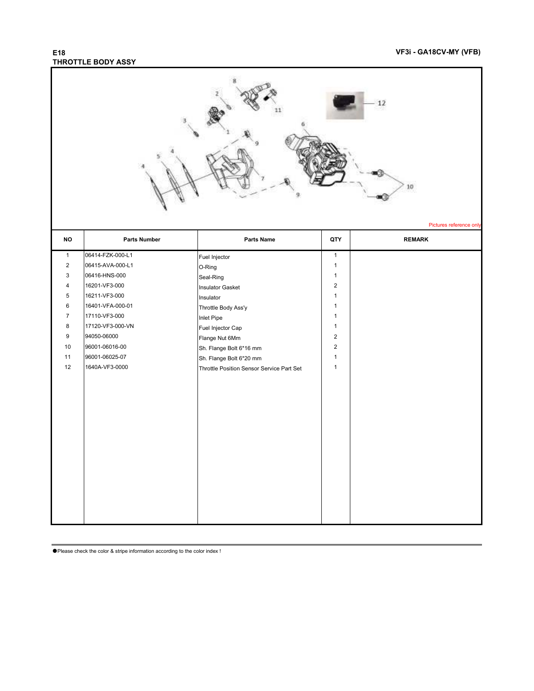## **THROTTLE BODY ASSY**

| 12<br>10<br>Pictures reference only |                     |                                           |                |               |
|-------------------------------------|---------------------|-------------------------------------------|----------------|---------------|
| <b>NO</b>                           | <b>Parts Number</b> | Parts Name                                | QTY            | <b>REMARK</b> |
| $\mathbf{1}$                        | 06414-FZK-000-L1    | Fuel Injector                             | $\mathbf{1}$   |               |
| $\overline{2}$                      | 06415-AVA-000-L1    | O-Ring                                    | $\mathbf{1}$   |               |
| 3                                   | 06416-HNS-000       | Seal-Ring                                 | $\mathbf{1}$   |               |
| 4                                   | 16201-VF3-000       | <b>Insulator Gasket</b>                   | $\sqrt{2}$     |               |
| 5                                   | 16211-VF3-000       | Insulator                                 | $\mathbf{1}$   |               |
| 6                                   | 16401-VFA-000-01    | Throttle Body Ass'y                       | $\mathbf{1}$   |               |
| $\boldsymbol{7}$                    | 17110-VF3-000       | Inlet Pipe                                | $\mathbf{1}$   |               |
| 8                                   | 17120-VF3-000-VN    | Fuel Injector Cap                         | $\mathbf{1}$   |               |
| 9                                   | 94050-06000         | Flange Nut 6Mm                            | $\overline{2}$ |               |
| 10                                  | 96001-06016-00      | Sh. Flange Bolt 6*16 mm                   | $\overline{2}$ |               |
| 11                                  | 96001-06025-07      | Sh. Flange Bolt 6*20 mm                   | $\mathbf{1}$   |               |
| 12                                  | 1640A-VF3-0000      | Throttle Position Sensor Service Part Set | $\mathbf{1}$   |               |
|                                     |                     |                                           |                |               |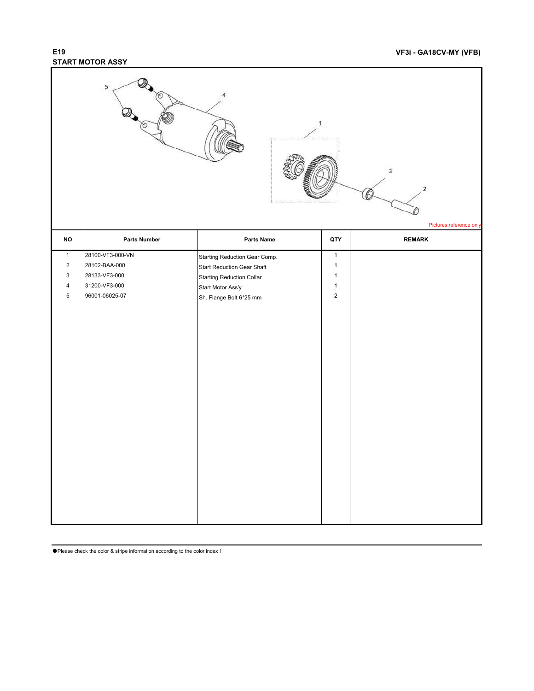## **START MOTOR ASSY**

|                           | 5<br>τ.             |                               | $\mathbf 1$    | $\overline{3}$<br>2<br>Pictures reference only |
|---------------------------|---------------------|-------------------------------|----------------|------------------------------------------------|
| $\mathsf{NO}$             | <b>Parts Number</b> | <b>Parts Name</b>             | QTY            | <b>REMARK</b>                                  |
| $\mathbf{1}$              | 28100-VF3-000-VN    | Starting Reduction Gear Comp. | $\mathbf{1}$   |                                                |
| $\sqrt{2}$                | 28102-BAA-000       | Start Reduction Gear Shaft    | $\mathbf{1}$   |                                                |
| $\ensuremath{\mathsf{3}}$ | 28133-VF3-000       | Starting Reduction Collar     | $\mathbf{1}$   |                                                |
| $\pmb{4}$                 | 31200-VF3-000       | Start Motor Ass'y             | $\mathbf{1}$   |                                                |
| $\,$ 5 $\,$               | 96001-06025-07      | Sh. Flange Bolt 6*25 mm       | $\overline{2}$ |                                                |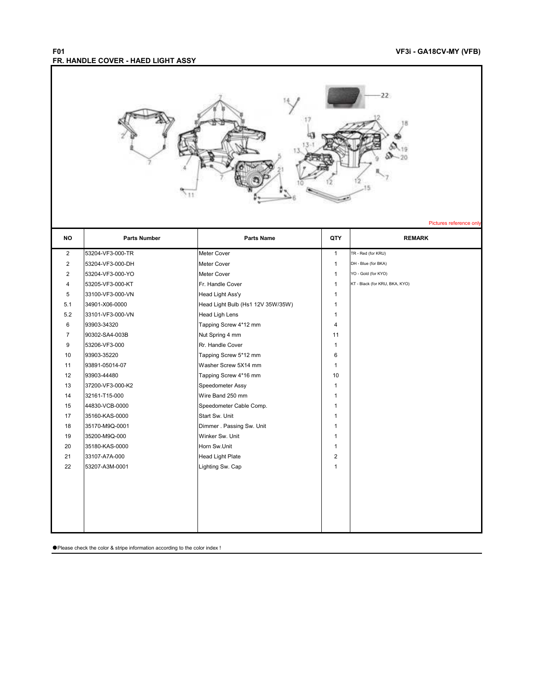#### **F01 VF3i - GA18CV-MY (VFB) FR. HANDLE COVER - HAED LIGHT ASSY**



Pictures reference on

| <b>NO</b>      | <b>Parts Number</b> | <b>Parts Name</b>                 | QTY            | <b>REMARK</b>                  |
|----------------|---------------------|-----------------------------------|----------------|--------------------------------|
| $\overline{2}$ | 53204-VF3-000-TR    | <b>Meter Cover</b>                | $\mathbf{1}$   | TR - Red (for KRU)             |
| $\overline{2}$ | 53204-VF3-000-DH    | Meter Cover                       | $\mathbf{1}$   | DH - Blue (for BKA)            |
| 2              | 53204-VF3-000-YO    | Meter Cover                       | $\mathbf{1}$   | YO - Gold (for KYO)            |
| 4              | 53205-VF3-000-KT    | Fr. Handle Cover                  | $\mathbf{1}$   | KT - Black (for KRU, BKA, KYO) |
| 5              | 33100-VF3-000-VN    | Head Light Ass'y                  | $\mathbf{1}$   |                                |
| 5.1            | 34901-X06-0000      | Head Light Bulb (Hs1 12V 35W/35W) | $\mathbf{1}$   |                                |
| 5.2            | 33101-VF3-000-VN    | <b>Head Ligh Lens</b>             | $\mathbf{1}$   |                                |
| 6              | 93903-34320         | Tapping Screw 4*12 mm             | $\overline{4}$ |                                |
| 7              | 90302-SA4-003B      | Nut Spring 4 mm                   | 11             |                                |
| 9              | 53206-VF3-000       | Rr. Handle Cover                  | $\mathbf{1}$   |                                |
| 10             | 93903-35220         | Tapping Screw 5*12 mm             | 6              |                                |
| 11             | 93891-05014-07      | Washer Screw 5X14 mm              | $\mathbf{1}$   |                                |
| 12             | 93903-44480         | Tapping Screw 4*16 mm             | 10             |                                |
| 13             | 37200-VF3-000-K2    | Speedometer Assy                  | $\mathbf{1}$   |                                |
| 14             | 32161-T15-000       | Wire Band 250 mm                  | 1              |                                |
| 15             | 44830-VCB-0000      | Speedometer Cable Comp.           | 1              |                                |
| 17             | 35160-KAS-0000      | Start Sw. Unit                    | $\mathbf{1}$   |                                |
| 18             | 35170-M9Q-0001      | Dimmer . Passing Sw. Unit         | $\mathbf{1}$   |                                |
| 19             | 35200-M9Q-000       | Winker Sw. Unit                   | $\mathbf{1}$   |                                |
| 20             | 35180-KAS-0000      | Horn Sw.Unit                      | $\mathbf{1}$   |                                |
| 21             | 33107-A7A-000       | <b>Head Light Plate</b>           | $\overline{2}$ |                                |
| 22             | 53207-A3M-0001      | Lighting Sw. Cap                  | $\mathbf{1}$   |                                |
|                |                     |                                   |                |                                |
|                |                     |                                   |                |                                |
|                |                     |                                   |                |                                |
|                |                     |                                   |                |                                |
|                |                     |                                   |                |                                |
|                |                     |                                   |                |                                |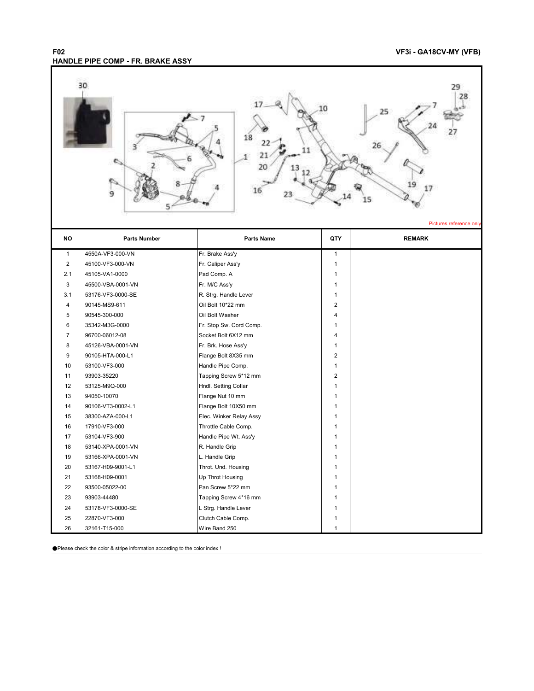### **F02 VF3i - GA18CV-MY (VFB) HANDLE PIPE COMP - FR. BRAKE ASSY**



Pictures reference o

| <b>NO</b>      | <b>Parts Number</b> | Parts Name              | QTY            | <b>REMARK</b> |
|----------------|---------------------|-------------------------|----------------|---------------|
| $\mathbf{1}$   | 4550A-VF3-000-VN    | Fr. Brake Ass'y         | $\mathbf{1}$   |               |
| 2              | 45100-VF3-000-VN    | Fr. Caliper Ass'y       | $\mathbf{1}$   |               |
| 2.1            | 45105-VA1-0000      | Pad Comp. A             | 1              |               |
| 3              | 45500-VBA-0001-VN   | Fr. M/C Ass'y           | $\mathbf{1}$   |               |
| 3.1            | 53176-VF3-0000-SE   | R. Strg. Handle Lever   | 1              |               |
| 4              | 90145-MS9-611       | Oil Bolt 10*22 mm       | $\overline{2}$ |               |
| 5              | 90545-300-000       | Oil Bolt Washer         | 4              |               |
| 6              | 35342-M3G-0000      | Fr. Stop Sw. Cord Comp. | $\mathbf{1}$   |               |
| $\overline{7}$ | 96700-06012-08      | Socket Bolt 6X12 mm     | 4              |               |
| 8              | 45126-VBA-0001-VN   | Fr. Brk. Hose Ass'y     | $\mathbf{1}$   |               |
| 9              | 90105-HTA-000-L1    | Flange Bolt 8X35 mm     | $\overline{2}$ |               |
| 10             | 53100-VF3-000       | Handle Pipe Comp.       | $\mathbf{1}$   |               |
| 11             | 93903-35220         | Tapping Screw 5*12 mm   | $\overline{2}$ |               |
| 12             | 53125-M9Q-000       | Hndl. Setting Collar    | $\mathbf{1}$   |               |
| 13             | 94050-10070         | Flange Nut 10 mm        | $\mathbf{1}$   |               |
| 14             | 90106-VT3-0002-L1   | Flange Bolt 10X50 mm    | $\mathbf{1}$   |               |
| 15             | 38300-AZA-000-L1    | Elec. Winker Relay Assy | $\mathbf{1}$   |               |
| 16             | 17910-VF3-000       | Throttle Cable Comp.    | $\mathbf{1}$   |               |
| 17             | 53104-VF3-900       | Handle Pipe Wt. Ass'y   | $\mathbf{1}$   |               |
| 18             | 53140-XPA-0001-VN   | R. Handle Grip          | $\mathbf{1}$   |               |
| 19             | 53166-XPA-0001-VN   | L. Handle Grip          | $\mathbf{1}$   |               |
| 20             | 53167-H09-9001-L1   | Throt. Und. Housing     | $\mathbf{1}$   |               |
| 21             | 53168-H09-0001      | Up Throt Housing        | $\mathbf{1}$   |               |
| 22             | 93500-05022-00      | Pan Screw 5*22 mm       | $\mathbf{1}$   |               |
| 23             | 93903-44480         | Tapping Screw 4*16 mm   | $\mathbf{1}$   |               |
| 24             | 53178-VF3-0000-SE   | L Strg. Handle Lever    | $\mathbf{1}$   |               |
| 25             | 22870-VF3-000       | Clutch Cable Comp.      | 1              |               |
| 26             | 32161-T15-000       | Wire Band 250           | $\mathbf{1}$   |               |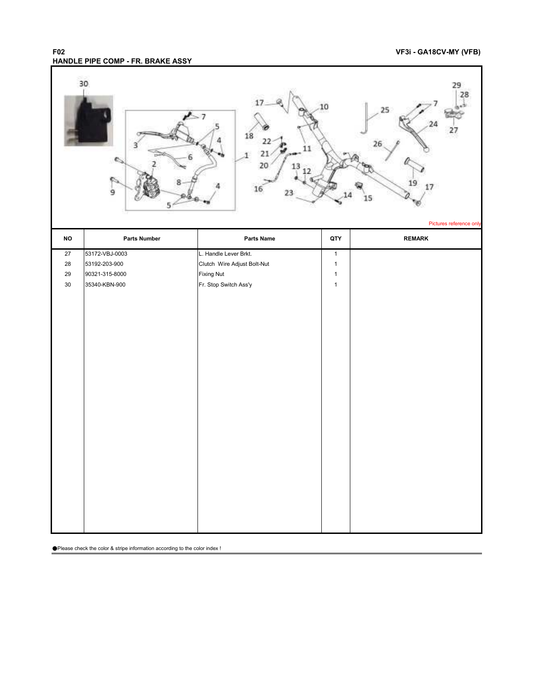#### **F02 VF3i - GA18CV-MY (VFB) HANDLE PIPE COMP - FR. BRAKE ASSY**

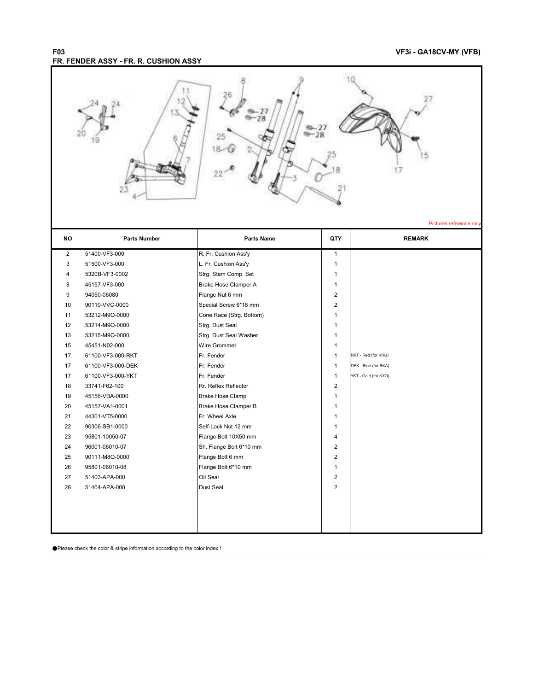### **F03 VF3i - GA18CV-MY (VFB) FR. FENDER ASSY - FR. R. CUSHION ASSY**

|                | 23                               |                                                 |                         | 27<br>Pictures reference only |
|----------------|----------------------------------|-------------------------------------------------|-------------------------|-------------------------------|
| NO             | <b>Parts Number</b>              | Parts Name                                      | QTY                     | <b>REMARK</b>                 |
| $\overline{c}$ | 51400-VF3-000                    | R. Fr. Cushion Ass'y                            | $\mathbf{1}$            |                               |
| $\mathsf 3$    | 51500-VF3-000                    | L. Fr. Cushion Ass'y                            | $\mathbf{1}$            |                               |
| 4              | 5320B-VF3-0002                   | Strg. Stem Comp. Set                            | 1                       |                               |
| 8              | 45157-VF3-000                    | Brake Hose Clamper A                            | $\mathbf{1}$            |                               |
| 9              | 94050-06080                      | Flange Nut 6 mm                                 | 2                       |                               |
| 10             | 90110-VVC-0000                   | Special Screw 6*16 mm                           | $\overline{c}$          |                               |
| 11             | 53212-M9Q-0000                   | Cone Race (Strg. Bottom)                        | $\mathbf{1}$            |                               |
| 12             | 53214-M9Q-0000                   | Strg. Dust Seal                                 | $\mathbf{1}$            |                               |
| 13             | 53215-M9Q-0000                   | Strg. Dust Seal Washer                          | $\mathbf{1}$            |                               |
| 15             | 45451-N02-000                    | Wire Grommet                                    | $\mathbf{1}$            |                               |
| 17             | 61100-VF3-000-RKT                | Fr. Fender                                      | $\mathbf{1}$            | RKT - Red (for KRU)           |
| 17             | 61100-VF3-000-DEK                | Fr. Fender                                      | $\mathbf{1}$            | DEK - Blue (for BKA)          |
| 17             | 61100-VF3-000-YKT                | Fr. Fender                                      | $\mathbf{1}$            | YKT - Gold (for KYO)          |
| 18             | 33741-F62-100                    | Rr. Reflex Reflector                            | $\overline{2}$          |                               |
| 19             | 45156-VBA-0000                   | <b>Brake Hose Clamp</b>                         | $\mathbf{1}$            |                               |
| 20             | 45157-VA1-0001                   | Brake Hose Clamper B                            | $\mathbf{1}$            |                               |
| 21             | 44301-VT5-0000                   | Fr. Wheel Axle                                  | $\mathbf{1}$            |                               |
| 22<br>23       | 90306-SB1-0000<br>95801-10050-07 | Self-Lock Nut 12 mm                             | 1<br>4                  |                               |
| 24             | 96001-06010-07                   | Flange Bolt 10X50 mm<br>Sh. Flange Bolt 6*10 mm | $\overline{c}$          |                               |
| 25             | 90111-M8Q-0000                   | Flange Bolt 6 mm                                | $\overline{2}$          |                               |
| 26             | 95801-06010-08                   | Flange Bolt 6*10 mm                             | $\mathbf{1}$            |                               |
| $27\,$         | 51403-APA-000                    | Oil Seal                                        | $\overline{\mathbf{c}}$ |                               |
| 28             | 51404-APA-000                    | Dust Seal                                       | $\overline{2}$          |                               |
|                |                                  |                                                 |                         |                               |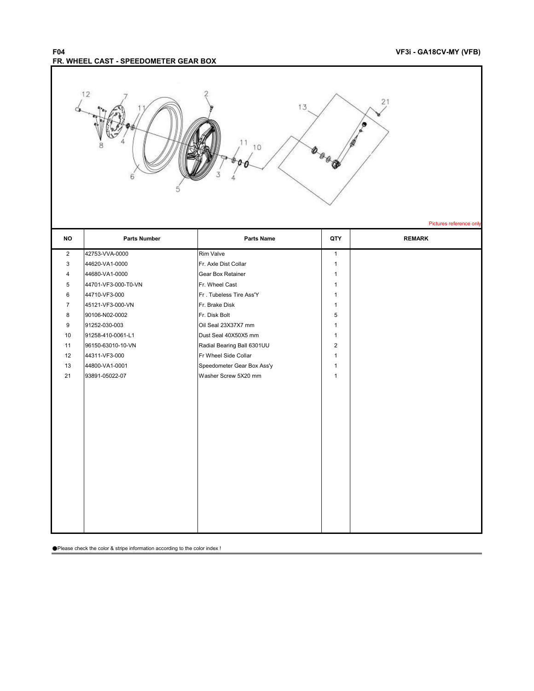### **F04 VF3i - GA18CV-MY (VFB) FR. WHEEL CAST - SPEEDOMETER GEAR BOX**

Г

 $\overline{\phantom{a}}$ 

| 12<br>21<br>13<br>11<br>10<br>6<br>Pictures reference only |                                    |                                                    |                              |               |
|------------------------------------------------------------|------------------------------------|----------------------------------------------------|------------------------------|---------------|
| <b>NO</b>                                                  | <b>Parts Number</b>                | Parts Name                                         | QTY                          | <b>REMARK</b> |
| $\overline{2}$                                             | 42753-VVA-0000                     | Rim Valve                                          | $\mathbf{1}$                 |               |
| 3                                                          | 44620-VA1-0000                     | Fr. Axle Dist Collar                               | $\mathbf{1}$                 |               |
| 4                                                          | 44680-VA1-0000                     | <b>Gear Box Retainer</b>                           | $\mathbf{1}$                 |               |
| $\,$ 5 $\,$                                                | 44701-VF3-000-T0-VN                | Fr. Wheel Cast                                     | $\mathbf{1}$                 |               |
| $\,6\,$                                                    | 44710-VF3-000                      | Fr. Tubeless Tire Ass'Y                            | $\mathbf{1}$                 |               |
| $\overline{7}$                                             | 45121-VF3-000-VN                   | Fr. Brake Disk                                     | $\mathbf{1}$                 |               |
| 8                                                          | 90106-N02-0002                     | Fr. Disk Bolt                                      | 5                            |               |
| 9                                                          | 91252-030-003                      | Oil Seal 23X37X7 mm                                | $\mathbf{1}$                 |               |
| 10                                                         | 91258-410-0061-L1                  | Dust Seal 40X50X5 mm                               | $\mathbf{1}$                 |               |
| 11<br>12                                                   | 96150-63010-10-VN<br>44311-VF3-000 | Radial Bearing Ball 6301UU<br>Fr Wheel Side Collar | $\overline{2}$               |               |
| 13                                                         | 44800-VA1-0001                     | Speedometer Gear Box Ass'y                         | $\mathbf{1}$<br>$\mathbf{1}$ |               |
| 21                                                         | 93891-05022-07                     | Washer Screw 5X20 mm                               | $\mathbf{1}$                 |               |
|                                                            |                                    |                                                    |                              |               |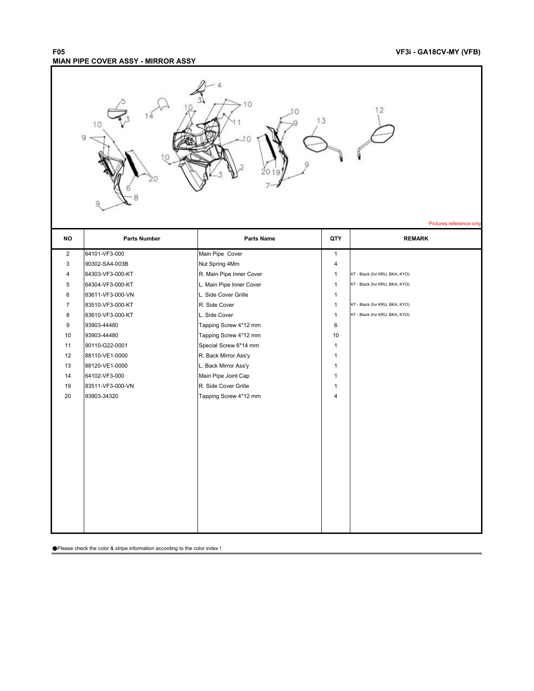### **F05 VF3i - GA18CV-MY (VFB) MIAN PIPE COVER ASSY - MIRROR ASSY**

|                | 10<br>12<br>13<br>10<br>9<br>Pictures reference only |                          |              |                                |  |
|----------------|------------------------------------------------------|--------------------------|--------------|--------------------------------|--|
| <b>NO</b>      | <b>Parts Number</b>                                  | Parts Name               | QTY          | <b>REMARK</b>                  |  |
| $\overline{2}$ | 64101-VF3-000                                        | Main Pipe Cover          | $\mathbf{1}$ |                                |  |
| 3              | 90302-SA4-003B                                       | Nut Spring 4Mm           | 4            |                                |  |
| 4              | 64303-VF3-000-KT                                     | R. Main Pipe Inner Cover | $\mathbf{1}$ | KT - Black (for KRU, BKA, KYO) |  |
| $\mathbf 5$    | 64304-VF3-000-KT                                     | L. Main Pipe Inner Cover | $\mathbf{1}$ | KT - Black (for KRU, BKA, KYO) |  |
| $\,6\,$        | 83611-VF3-000-VN                                     | L. Side Cover Grille     | $\mathbf{1}$ |                                |  |
| $\overline{7}$ | 83510-VF3-000-KT                                     | R. Side Cover            | $\mathbf{1}$ | KT - Black (for KRU, BKA, KYO) |  |
| 8              | 83610-VF3-000-KT                                     | L. Side Cover            | $\mathbf{1}$ | KT - Black (for KRU, BKA, KYO) |  |
| 9              | 93903-44480                                          | Tapping Screw 4*12 mm    | 6            |                                |  |
| 10             | 93903-44480                                          | Tapping Screw 4*12 mm    | 10           |                                |  |
| 11             | 90110-G22-0001                                       | Special Screw 6*14 mm    | $\mathbf{1}$ |                                |  |
| 12             | 88110-VE1-0000                                       | R. Back Mirror Ass'y     | $\mathbf{1}$ |                                |  |
| 13             | 88120-VE1-0000                                       | L. Back Mirror Ass'y     | $\mathbf{1}$ |                                |  |
| 14             | 64102-VF3-000                                        | Main Pipe Joint Cap      | $\mathbf{1}$ |                                |  |
| 19             | 83511-VF3-000-VN                                     | R. Side Cover Grille     | $\mathbf{1}$ |                                |  |
| 20             | 93903-34320                                          | Tapping Screw 4*12 mm    | 4            |                                |  |
|                |                                                      |                          |              |                                |  |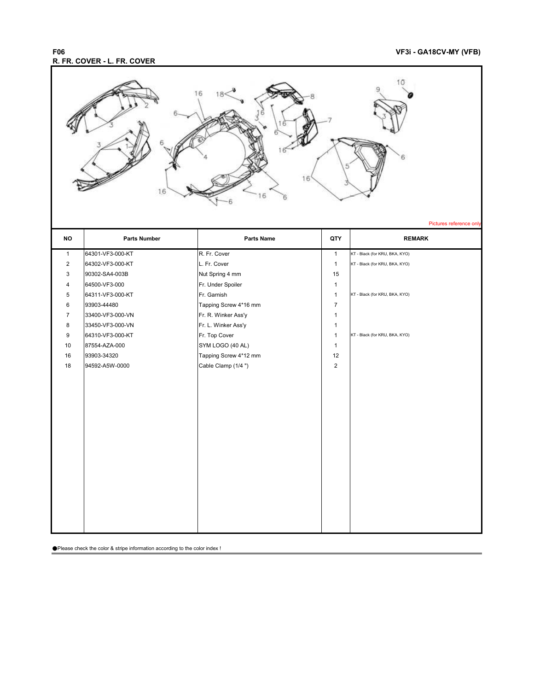### **F06 VF3i - GA18CV-MY (VFB) R. FR. COVER - L. FR. COVER**

| 16<br>16<br>16<br>16<br>Pictures reference only |                     |                       |                |                                |
|-------------------------------------------------|---------------------|-----------------------|----------------|--------------------------------|
| NO                                              | <b>Parts Number</b> | Parts Name            | QTY            | <b>REMARK</b>                  |
| $\mathbf{1}$                                    | 64301-VF3-000-KT    | R. Fr. Cover          | $\mathbf{1}$   | KT - Black (for KRU, BKA, KYO) |
| $\overline{c}$                                  | 64302-VF3-000-KT    | L. Fr. Cover          | $\mathbf{1}$   | KT - Black (for KRU, BKA, KYO) |
| 3                                               | 90302-SA4-003B      | Nut Spring 4 mm       | 15             |                                |
| 4                                               | 64500-VF3-000       | Fr. Under Spoiler     | $\mathbf{1}$   |                                |
| 5                                               | 64311-VF3-000-KT    | Fr. Garnish           | $\mathbf{1}$   | KT - Black (for KRU, BKA, KYO) |
| 6                                               | 93903-44480         | Tapping Screw 4*16 mm | $\overline{7}$ |                                |
| $\overline{7}$                                  | 33400-VF3-000-VN    | Fr. R. Winker Ass'y   | $\mathbf{1}$   |                                |
| 8                                               | 33450-VF3-000-VN    | Fr. L. Winker Ass'y   | $\mathbf{1}$   |                                |
| 9                                               | 64310-VF3-000-KT    | Fr. Top Cover         | $\mathbf{1}$   | KT - Black (for KRU, BKA, KYO) |
| 10                                              | 87554-AZA-000       | SYM LOGO (40 AL)      | $\mathbf{1}$   |                                |
| 16                                              | 93903-34320         | Tapping Screw 4*12 mm | 12             |                                |
| 18                                              | 94592-A5W-0000      | Cable Clamp (1/4")    | $\overline{2}$ |                                |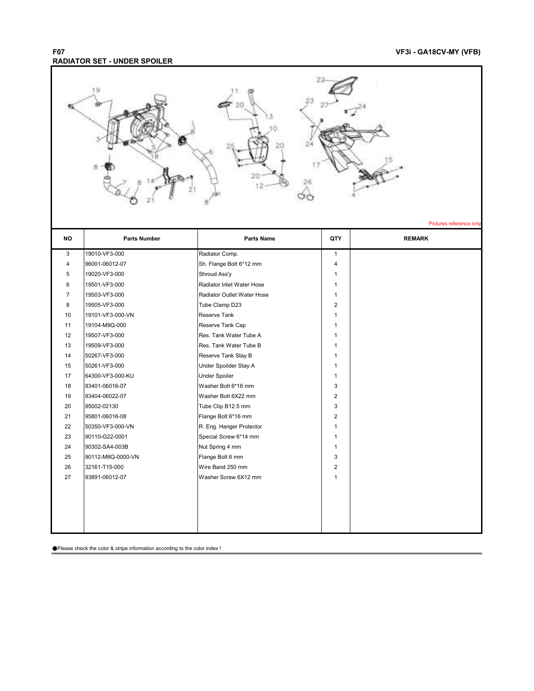### **F07 VF3i - GA18CV-MY (VFB) RADIATOR SET - UNDER SPOILER**

|           | 19                               |                                                   |                              | Pictures reference only |
|-----------|----------------------------------|---------------------------------------------------|------------------------------|-------------------------|
| <b>NO</b> | <b>Parts Number</b>              | <b>Parts Name</b>                                 | QTY                          | <b>REMARK</b>           |
| 3         | 19010-VF3-000                    | Radiator Comp.                                    | $\mathbf{1}$                 |                         |
| 4         | 96001-06012-07                   | Sh. Flange Bolt 6*12 mm                           | 4                            |                         |
| 5         | 19020-VF3-000                    | Shroud Ass'y                                      | $\mathbf{1}$                 |                         |
| 6         | 19501-VF3-000                    | Radiator Inlet Water Hose                         | $\mathbf{1}$                 |                         |
| 7         | 19503-VF3-000                    | Radiator Outlet Water Hose                        | $\mathbf{1}$                 |                         |
| 8         | 19505-VF3-000                    | Tube Clamp D23                                    | $\overline{2}$               |                         |
| 10        | 19101-VF3-000-VN                 | Reserve Tank                                      | $\mathbf{1}$                 |                         |
| 11        | 19104-M9Q-000                    | Reserve Tank Cap                                  | $\mathbf{1}$                 |                         |
| 12        | 19507-VF3-000                    | Res. Tank Water Tube A                            | $\mathbf{1}$                 |                         |
| 13        | 19509-VF3-000                    | Res. Tank Water Tube B                            | $\mathbf{1}$                 |                         |
| 14        | 50267-VF3-000                    | Reserve Tank Stay B                               | $\mathbf{1}$                 |                         |
| 15        | 50261-VF3-000                    | Under Spoilder Stay A                             | $\mathbf{1}$                 |                         |
| 17        | 64300-VF3-000-KU                 | Under Spoiler                                     | $\mathbf{1}$                 |                         |
| 18        | 93401-06016-07                   | Washer Bolt 6*16 mm                               | 3                            |                         |
| 19        | 93404-06022-07                   | Washer Bolt 6X22 mm                               | $\overline{\mathbf{c}}$      |                         |
| 20        | 95002-02130                      | Tube Clip B12.5 mm                                | 3                            |                         |
| 21        | 95801-06016-08                   | Flange Bolt 6*16 mm                               | $\overline{2}$               |                         |
| 22<br>23  | 50350-VF3-000-VN                 | R. Eng. Hanger Protector<br>Special Screw 6*14 mm | $\mathbf{1}$<br>$\mathbf{1}$ |                         |
| 24        | 90110-G22-0001<br>90302-SA4-003B | Nut Spring 4 mm                                   | $\mathbf{1}$                 |                         |
| 25        | 90112-M8Q-0000-VN                | Flange Bolt 6 mm                                  | 3                            |                         |
| 26        | 32161-T15-000                    | Wire Band 250 mm                                  | $\overline{2}$               |                         |
| 27        | 93891-06012-07                   | Washer Screw 6X12 mm                              | $\mathbf{1}$                 |                         |
|           |                                  |                                                   |                              |                         |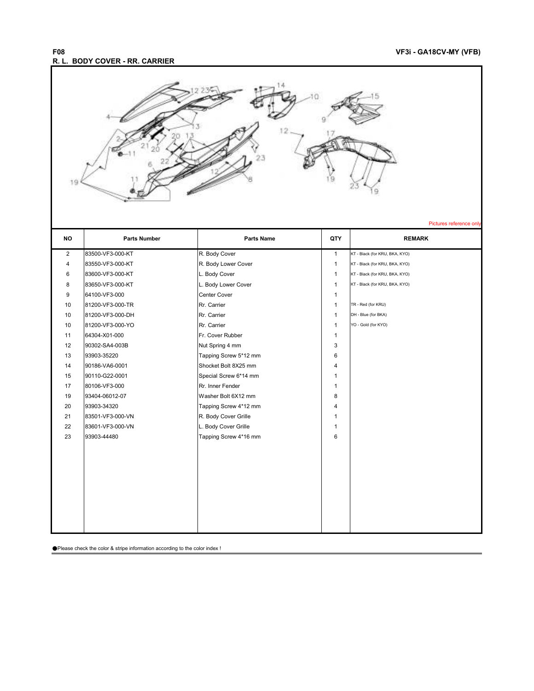#### **F08 VF3i - GA18CV-MY (VFB) R. L. BODY COVER - RR. CARRIER**

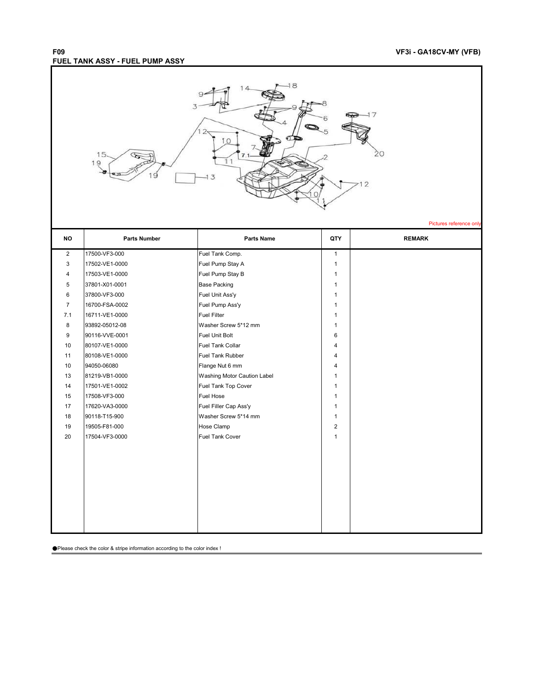### **F09 VF3i - GA18CV-MY (VFB) FUEL TANK ASSY - FUEL PUMP ASSY**

| $-18$<br>5<br>19 |  |
|------------------|--|
| 7                |  |

Pictures reference on

| <b>NO</b>      | <b>Parts Number</b> | Parts Name                         | QTY                     | <b>REMARK</b> |
|----------------|---------------------|------------------------------------|-------------------------|---------------|
| $\overline{2}$ | 17500-VF3-000       | Fuel Tank Comp.                    | $\mathbf{1}$            |               |
| 3              | 17502-VE1-0000      | Fuel Pump Stay A                   | $\mathbf{1}$            |               |
| 4              | 17503-VE1-0000      | Fuel Pump Stay B                   | $\mathbf{1}$            |               |
| 5              | 37801-X01-0001      | <b>Base Packing</b>                | $\mathbf{1}$            |               |
| 6              | 37800-VF3-000       | Fuel Unit Ass'y                    | $\mathbf{1}$            |               |
| $\overline{7}$ | 16700-FSA-0002      | Fuel Pump Ass'y                    | $\mathbf{1}$            |               |
| 7.1            | 16711-VE1-0000      | <b>Fuel Filter</b>                 | $\mathbf{1}$            |               |
| 8              | 93892-05012-08      | Washer Screw 5*12 mm               | $\mathbf{1}$            |               |
| 9              | 90116-VVE-0001      | Fuel Unit Bolt                     | 6                       |               |
| 10             | 80107-VE1-0000      | <b>Fuel Tank Collar</b>            | $\overline{\mathbf{4}}$ |               |
| 11             | 80108-VE1-0000      | <b>Fuel Tank Rubber</b>            | 4                       |               |
| 10             | 94050-06080         | Flange Nut 6 mm                    | 4                       |               |
| 13             | 81219-VB1-0000      | <b>Washing Motor Caution Label</b> | 1                       |               |
| 14             | 17501-VE1-0002      | Fuel Tank Top Cover                | $\mathbf{1}$            |               |
| 15             | 17508-VF3-000       | <b>Fuel Hose</b>                   | $\mathbf{1}$            |               |
| 17             | 17620-VA3-0000      | Fuel Filler Cap Ass'y              | $\mathbf{1}$            |               |
| 18             | 90118-T15-900       | Washer Screw 5*14 mm               | $\mathbf{1}$            |               |
| 19             | 19505-F81-000       | Hose Clamp                         | $\overline{2}$          |               |
| 20             | 17504-VF3-0000      | <b>Fuel Tank Cover</b>             | $\mathbf{1}$            |               |
|                |                     |                                    |                         |               |
|                |                     |                                    |                         |               |
|                |                     |                                    |                         |               |
|                |                     |                                    |                         |               |
|                |                     |                                    |                         |               |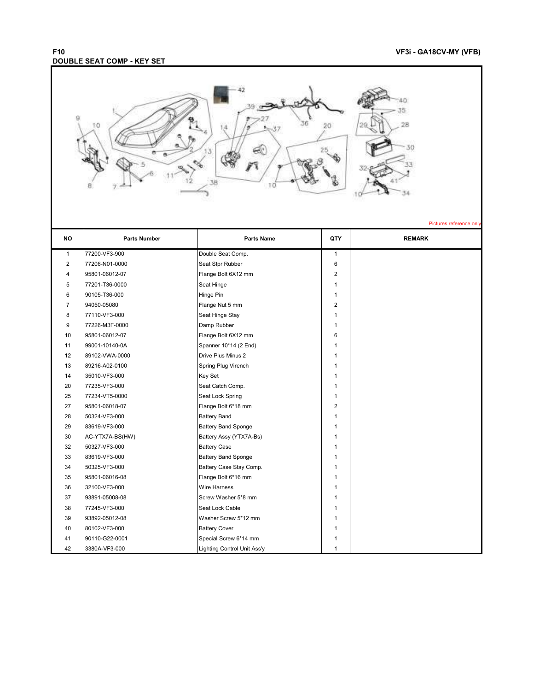## **DOUBLE SEAT COMP - KEY SET**

### **F10 VF3i - GA18CV-MY (VFB)**



| <b>NO</b>      | <b>Parts Number</b> | <b>Parts Name</b>           | QTY            | <b>REMARK</b> |
|----------------|---------------------|-----------------------------|----------------|---------------|
| $\mathbf{1}$   | 77200-VF3-900       | Double Seat Comp.           | $\mathbf{1}$   |               |
| 2              | 77206-N01-0000      | Seat Stpr Rubber            | 6              |               |
| 4              | 95801-06012-07      | Flange Bolt 6X12 mm         | $\overline{2}$ |               |
| 5              | 77201-T36-0000      | Seat Hinge                  | 1              |               |
| 6              | 90105-T36-000       | Hinge Pin                   | 1              |               |
| $\overline{7}$ | 94050-05080         | Flange Nut 5 mm             | 2              |               |
| 8              | 77110-VF3-000       | Seat Hinge Stay             | $\mathbf{1}$   |               |
| 9              | 77226-M3F-0000      | Damp Rubber                 | $\mathbf{1}$   |               |
| 10             | 95801-06012-07      | Flange Bolt 6X12 mm         | 6              |               |
| 11             | 99001-10140-0A      | Spanner 10*14 (2 End)       | 1              |               |
| 12             | 89102-VWA-0000      | Drive Plus Minus 2          | $\mathbf{1}$   |               |
| 13             | 89216-A02-0100      | Spring Plug Virench         | 1              |               |
| 14             | 35010-VF3-000       | Key Set                     | 1              |               |
| 20             | 77235-VF3-000       | Seat Catch Comp.            | 1              |               |
| 25             | 77234-VT5-0000      | Seat Lock Spring            | 1              |               |
| 27             | 95801-06018-07      | Flange Bolt 6*18 mm         | $\overline{2}$ |               |
| 28             | 50324-VF3-000       | <b>Battery Band</b>         | 1              |               |
| 29             | 83619-VF3-000       | <b>Battery Band Sponge</b>  | 1              |               |
| 30             | AC-YTX7A-BS(HW)     | Battery Assy (YTX7A-Bs)     | $\mathbf{1}$   |               |
| 32             | 50327-VF3-000       | <b>Battery Case</b>         | 1              |               |
| 33             | 83619-VF3-000       | <b>Battery Band Sponge</b>  | 1              |               |
| 34             | 50325-VF3-000       | Battery Case Stay Comp.     | 1              |               |
| 35             | 95801-06016-08      | Flange Bolt 6*16 mm         | 1              |               |
| 36             | 32100-VF3-000       | <b>Wire Harness</b>         | $\mathbf{1}$   |               |
| 37             | 93891-05008-08      | Screw Washer 5*8 mm         | 1              |               |
| 38             | 77245-VF3-000       | Seat Lock Cable             | 1              |               |
| 39             | 93892-05012-08      | Washer Screw 5*12 mm        | $\mathbf{1}$   |               |
| 40             | 80102-VF3-000       | <b>Battery Cover</b>        | 1              |               |
| 41             | 90110-G22-0001      | Special Screw 6*14 mm       | 1              |               |
| 42             | 3380A-VF3-000       | Lighting Control Unit Ass'y | $\mathbf{1}$   |               |

Pictures reference on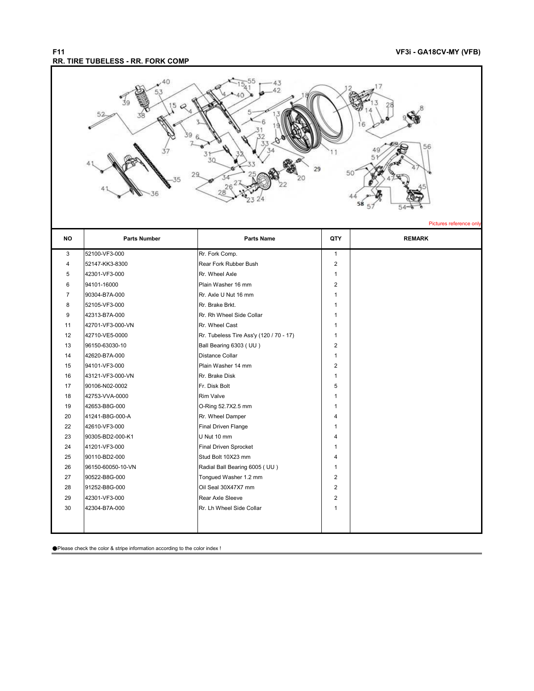Pictures reference on

### **F11 VF3i - GA18CV-MY (VFB) RR. TIRE TUBELESS - RR. FORK COMP**



| <b>NO</b>      | <b>Parts Number</b> | <b>Parts Name</b>                       | QTY            | <b>REMARK</b> |
|----------------|---------------------|-----------------------------------------|----------------|---------------|
| 3              | 52100-VF3-000       | Rr. Fork Comp.                          | $\mathbf{1}$   |               |
| 4              | 52147-KK3-8300      | Rear Fork Rubber Bush                   | $\overline{2}$ |               |
| 5              | 42301-VF3-000       | Rr. Wheel Axle                          | $\mathbf{1}$   |               |
| 6              | 94101-16000         | Plain Washer 16 mm                      | $\overline{2}$ |               |
| $\overline{7}$ | 90304-B7A-000       | Rr. Axle U Nut 16 mm                    | $\mathbf{1}$   |               |
| 8              | 52105-VF3-000       | Rr. Brake Brkt.                         | 1              |               |
| 9              | 42313-B7A-000       | Rr. Rh Wheel Side Collar                | $\mathbf{1}$   |               |
| 11             | 42701-VF3-000-VN    | Rr. Wheel Cast                          | 1              |               |
| 12             | 42710-VE5-0000      | Rr. Tubeless Tire Ass'y (120 / 70 - 17) | $\mathbf{1}$   |               |
| 13             | 96150-63030-10      | Ball Bearing 6303 (UU)                  | 2              |               |
| 14             | 42620-B7A-000       | <b>Distance Collar</b>                  | $\mathbf{1}$   |               |
| 15             | 94101-VF3-000       | Plain Washer 14 mm                      | $\overline{2}$ |               |
| 16             | 43121-VF3-000-VN    | Rr. Brake Disk                          | $\mathbf{1}$   |               |
| 17             | 90106-N02-0002      | Fr. Disk Bolt                           | 5              |               |
| 18             | 42753-VVA-0000      | <b>Rim Valve</b>                        | $\mathbf{1}$   |               |
| 19             | 42653-B8G-000       | O-Ring 52.7X2.5 mm                      | $\mathbf{1}$   |               |
| 20             | 41241-B8G-000-A     | Rr. Wheel Damper                        | 4              |               |
| 22             | 42610-VF3-000       | Final Driven Flange                     | 1              |               |
| 23             | 90305-BD2-000-K1    | U Nut 10 mm                             | 4              |               |
| 24             | 41201-VF3-000       | Final Driven Sprocket                   | 1              |               |
| 25             | 90110-BD2-000       | Stud Bolt 10X23 mm                      | $\overline{4}$ |               |
| 26             | 96150-60050-10-VN   | Radial Ball Bearing 6005 (UU)           | $\mathbf{1}$   |               |
| 27             | 90522-B8G-000       | Tongued Washer 1.2 mm                   | $\overline{2}$ |               |
| 28             | 91252-B8G-000       | Oil Seal 30X47X7 mm                     | $\overline{2}$ |               |
| 29             | 42301-VF3-000       | Rear Axle Sleeve                        | $\overline{2}$ |               |
| 30             | 42304-B7A-000       | Rr. Lh Wheel Side Collar                | $\mathbf{1}$   |               |
|                |                     |                                         |                |               |
|                |                     |                                         |                |               |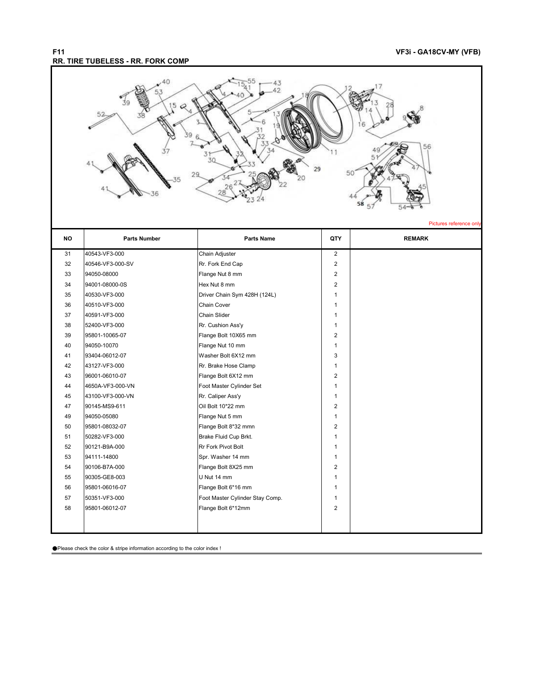#### **F11 VF3i - GA18CV-MY (VFB) RR. TIRE TUBELESS - RR. FORK COMP**

Pictures reference on



31 40543-VF3-000 Chain Adjuster 2 32 40546-VF3-000-SV Rr. Fork End Cap 2 33 94050-08000 Flange Nut 8 mm 2 34 94001-08000-0S Hex Nut 8 mm 35 40530-VF3-000 Driver Chain Sym 428H (124L) 40530-VF3-000 36 40510-VF3-000 Chain Cover 1 37 40591-VF3-000 Chain Slider 1 38 52400-VF3-000 Rr. Cushion Ass'y 1 39 95801-10065-07 Flange Bolt 10X65 mm 2 40 94050-10070 **Flange Nut 10 mm** 41 93404-06012-07 Washer Bolt 6X12 mm 3 42 43127-VF3-000 Rr. Brake Hose Clamp 43 96001-06010-07 Flange Bolt 6X12 mm 2 44 4650A-VF3-000-VN Foot Master Cylinder Set 1 45 43100-VF3-000-VN Rr. Caliper Ass'y 1 47 90145-MS9-611 Oil Bolt 10\*22 mm 2 49 94050-05080 **Flange Nut 5 mm** 1 50 95801-08032-07 Flange Bolt 8\*32 mmn 2 51 50282-VF3-000 Brake Fluid Cup Brkt. 52 90121-B9A-000 Rr Fork Pivot Bolt 1 53 94111-14800 Spr. Washer 14 mm 1 54 90106-B7A-000 Flange Bolt 8X25 mm 2 55 90305-GE8-003 U Nut 14 mm 1 56 95801-06016-07 Flange Bolt 6\*16 mm 1 57 50351-VF3-000 Foot Master Cylinder Stay Comp. 58 95801-06012-07 Flange Bolt 6\*12mm 2 **NO Parts Number Parts Name QTY REMARK**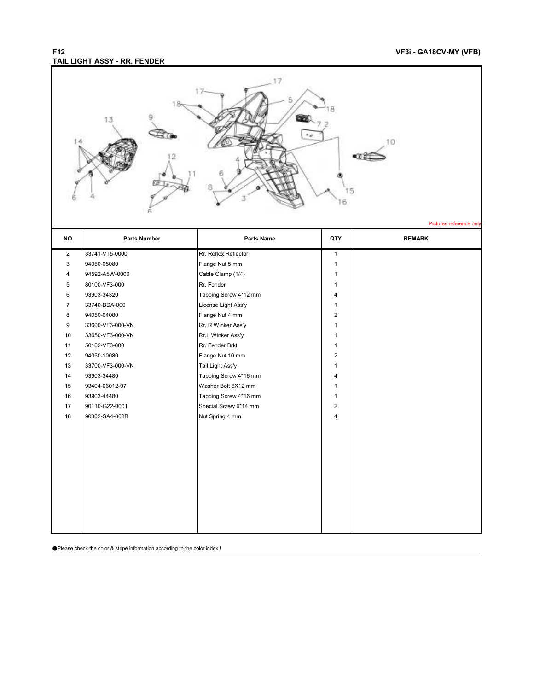#### **F12 VF3i - GA18CV-MY (VFB) TAIL LIGHT ASSY - RR. FENDER**

|                | 13                  |                       |                | 10<br>Pictures reference only |
|----------------|---------------------|-----------------------|----------------|-------------------------------|
| <b>NO</b>      | <b>Parts Number</b> | <b>Parts Name</b>     | QTY            | <b>REMARK</b>                 |
| $\overline{2}$ | 33741-VT5-0000      | Rr. Reflex Reflector  | $\mathbf{1}$   |                               |
| 3              | 94050-05080         | Flange Nut 5 mm       | $\mathbf{1}$   |                               |
| 4              | 94592-A5W-0000      | Cable Clamp (1/4)     | $\mathbf{1}$   |                               |
| 5              | 80100-VF3-000       | Rr. Fender            | $\mathbf{1}$   |                               |
| 6              | 93903-34320         | Tapping Screw 4*12 mm | 4              |                               |
| $\overline{7}$ | 33740-BDA-000       | License Light Ass'y   | $\mathbf{1}$   |                               |
| 8              | 94050-04080         | Flange Nut 4 mm       | $\overline{2}$ |                               |
| 9              | 33600-VF3-000-VN    | Rr. R Winker Ass'y    | $\mathbf{1}$   |                               |
| 10             | 33650-VF3-000-VN    | Rr.L Winker Ass'y     | $\mathbf{1}$   |                               |
| 11             | 50162-VF3-000       | Rr. Fender Brkt.      | $\mathbf{1}$   |                               |
| 12             | 94050-10080         | Flange Nut 10 mm      | $\overline{2}$ |                               |
| 13             | 33700-VF3-000-VN    | Tail Light Ass'y      | $\mathbf{1}$   |                               |
| 14             | 93903-34480         | Tapping Screw 4*16 mm | 4              |                               |
| 15             | 93404-06012-07      | Washer Bolt 6X12 mm   | $\mathbf{1}$   |                               |
| 16             | 93903-44480         | Tapping Screw 4*16 mm | $\mathbf{1}$   |                               |
| 17             | 90110-G22-0001      | Special Screw 6*14 mm | $\overline{2}$ |                               |
| 18             | 90302-SA4-003B      | Nut Spring 4 mm       | $\overline{4}$ |                               |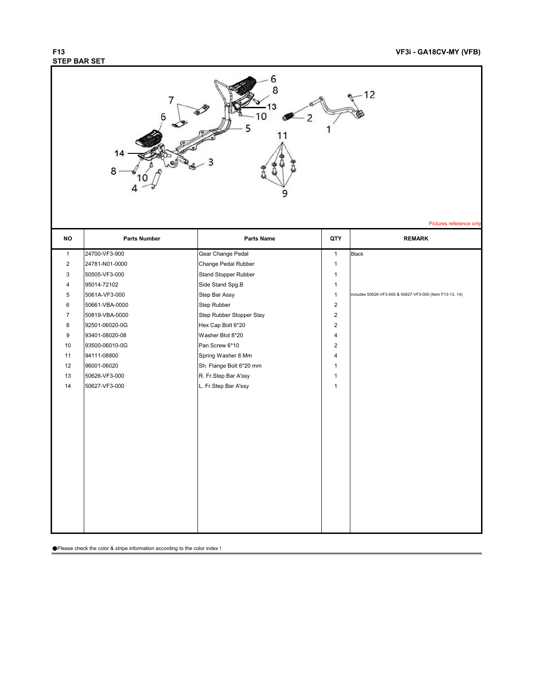## **STEP BAR SET**

### **F13 VF3i - GA18CV-MY (VFB)**

|                |                     | 13<br>O                  |                | 12<br>Pictures reference only                            |
|----------------|---------------------|--------------------------|----------------|----------------------------------------------------------|
| <b>NO</b>      | <b>Parts Number</b> | Parts Name               | QTY            | <b>REMARK</b>                                            |
| $\mathbf{1}$   | 24700-VF3-900       | Gear Change Pedal        | $\mathbf{1}$   | <b>Black</b>                                             |
| $\overline{2}$ | 24781-N01-0000      | Change Pedal Rubber      | $\mathbf{1}$   |                                                          |
| 3              | 50505-VF3-000       | Stand Stopper Rubber     | $\mathbf{1}$   |                                                          |
| 4              | 95014-72102         | Side Stand Spg.B         | $\mathbf{1}$   |                                                          |
| 5              | 5061A-VF3-000       | Step Bar Assy            | $\mathbf{1}$   | includes 50626-VF3-000 & 50627-VF3-000 (Item F13-13, 14) |
| 6              | 50661-VBA-0000      | Step Rubber              | $\sqrt{2}$     |                                                          |
| $\overline{7}$ | 50819-VBA-0000      | Step Rubber Stopper Stay | $\overline{2}$ |                                                          |
| 8              | 92501-06020-0G      | Hex Cap Bolt 6*20        | $\overline{2}$ |                                                          |
| 9              | 93401-08020-08      | Washer Blot 8*20         | $\overline{4}$ |                                                          |
| 10             | 93500-06010-0G      | Pan Screw 6*10           | 2              |                                                          |
| 11             | 94111-08800         | Spring Washer 8 Mm       | $\overline{4}$ |                                                          |
| 12             | 96001-06020         | Sh. Flange Bolt 6*20 mm  | $\mathbf{1}$   |                                                          |
| 13             | 50626-VF3-000       | R. Fr.Step Bar A'ssy     | $\mathbf{1}$   |                                                          |
| 14             | 50627-VF3-000       | L. Fr.Step Bar A'ssy     | $\mathbf{1}$   |                                                          |
|                |                     |                          |                |                                                          |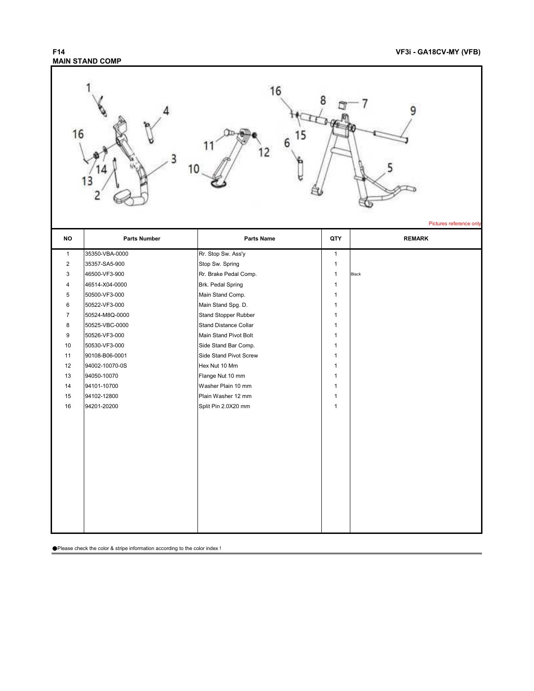

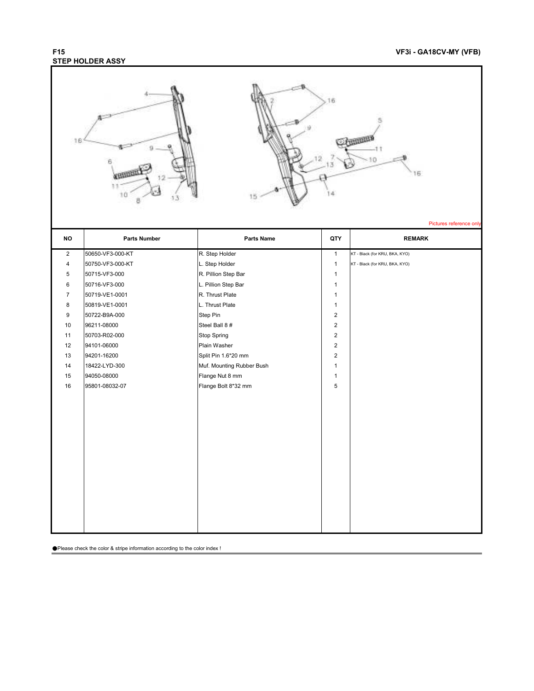## **STEP HOLDER ASSY**

| 16             | ū<br>10                       | 5.5                                    | ìБ                          | Ð<br>16<br>Pictures reference only |
|----------------|-------------------------------|----------------------------------------|-----------------------------|------------------------------------|
| <b>NO</b>      | <b>Parts Number</b>           | Parts Name                             | QTY                         | <b>REMARK</b>                      |
| $\overline{2}$ | 50650-VF3-000-KT              | R. Step Holder                         | $\mathbf{1}$                | KT - Black (for KRU, BKA, KYO)     |
| 4              | 50750-VF3-000-KT              | L. Step Holder                         | $\mathbf{1}$                | KT - Black (for KRU, BKA, KYO)     |
| 5              | 50715-VF3-000                 | R. Pillion Step Bar                    | $\mathbf{1}$                |                                    |
| $\,6\,$        | 50716-VF3-000                 | L. Pillion Step Bar                    | $\mathbf{1}$                |                                    |
| $\overline{7}$ | 50719-VE1-0001                | R. Thrust Plate                        | $\mathbf{1}$                |                                    |
| 8              | 50819-VE1-0001                | L. Thrust Plate                        | $\mathbf{1}$                |                                    |
| 9              | 50722-B9A-000                 | Step Pin                               | $\overline{2}$              |                                    |
| 10             | 96211-08000                   | Steel Ball 8 #                         | $\sqrt{2}$                  |                                    |
| 11             | 50703-R02-000                 | <b>Stop Spring</b>                     | $\sqrt{2}$                  |                                    |
| 12             | 94101-06000                   | Plain Washer                           | $\overline{c}$              |                                    |
| 13             | 94201-16200                   | Split Pin 1.6*20 mm                    | $\sqrt{2}$                  |                                    |
| 14             | 18422-LYD-300                 | Muf. Mounting Rubber Bush              | $\mathbf{1}$                |                                    |
| 15<br>16       | 94050-08000<br>95801-08032-07 | Flange Nut 8 mm<br>Flange Bolt 8*32 mm | $\mathbf{1}$<br>$\mathbf 5$ |                                    |
|                |                               |                                        |                             |                                    |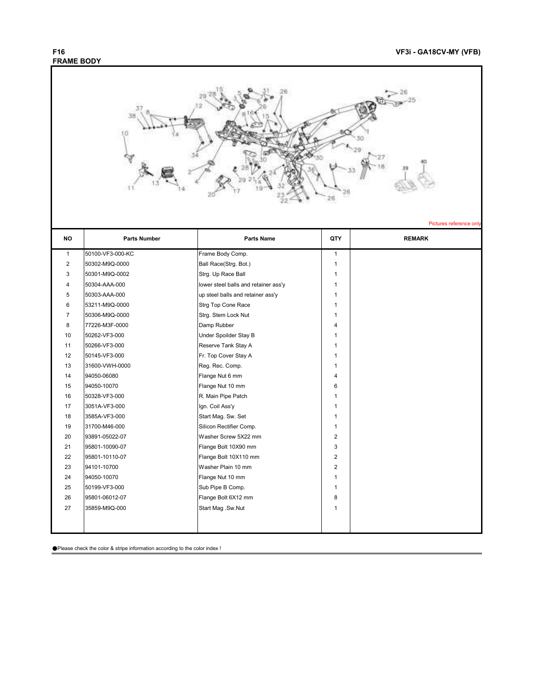

| טוי            | <b>Faits Number</b> | <b>Fails</b> Natile                  | uli            | <b>NEWANN</b> |
|----------------|---------------------|--------------------------------------|----------------|---------------|
| $\mathbf{1}$   | 50100-VF3-000-KC    | Frame Body Comp.                     | $\mathbf{1}$   |               |
| 2              | 50302-M9Q-0000      | Ball Race(Strg. Bot.)                | 1              |               |
| 3              | 50301-M9Q-0002      | Strg. Up Race Ball                   | $\mathbf{1}$   |               |
| 4              | 50304-AAA-000       | lower steel balls and retainer ass'y | $\mathbf{1}$   |               |
| 5              | 50303-AAA-000       | up steel balls and retainer ass'y    | 1              |               |
| 6              | 53211-M9Q-0000      | Strg Top Cone Race                   | $\mathbf{1}$   |               |
| $\overline{7}$ | 50306-M9Q-0000      | Strg. Stem Lock Nut                  | 1              |               |
| 8              | 77226-M3F-0000      | Damp Rubber                          | 4              |               |
| 10             | 50262-VF3-000       | Under Spoilder Stay B                | 1              |               |
| 11             | 50266-VF3-000       | Reserve Tank Stay A                  | 1              |               |
| 12             | 50145-VF3-000       | Fr. Top Cover Stay A                 | $\mathbf{1}$   |               |
| 13             | 31600-VWH-0000      | Reg. Rec. Comp.                      | 1              |               |
| 14             | 94050-06080         | Flange Nut 6 mm                      | 4              |               |
| 15             | 94050-10070         | Flange Nut 10 mm                     | 6              |               |
| 16             | 50328-VF3-000       | R. Main Pipe Patch                   | $\mathbf{1}$   |               |
| 17             | 3051A-VF3-000       | Ign. Coil Ass'y                      | 1              |               |
| 18             | 3585A-VF3-000       | Start Mag. Sw. Set                   | 1              |               |
| 19             | 31700-M46-000       | Silicon Rectifier Comp.              | $\mathbf{1}$   |               |
| 20             | 93891-05022-07      | Washer Screw 5X22 mm                 | $\overline{2}$ |               |
| 21             | 95801-10090-07      | Flange Bolt 10X90 mm                 | 3              |               |
| 22             | 95801-10110-07      | Flange Bolt 10X110 mm                | $\overline{2}$ |               |
| 23             | 94101-10700         | Washer Plain 10 mm                   | $\overline{2}$ |               |
| 24             | 94050-10070         | Flange Nut 10 mm                     | $\mathbf{1}$   |               |
| 25             | 50199-VF3-000       | Sub Pipe B Comp.                     | 1              |               |
| 26             | 95801-06012-07      | Flange Bolt 6X12 mm                  | 8              |               |
| 27             | 35859-M9Q-000       | Start Mag .Sw.Nut                    | 1              |               |
|                |                     |                                      |                |               |
|                |                     |                                      |                |               |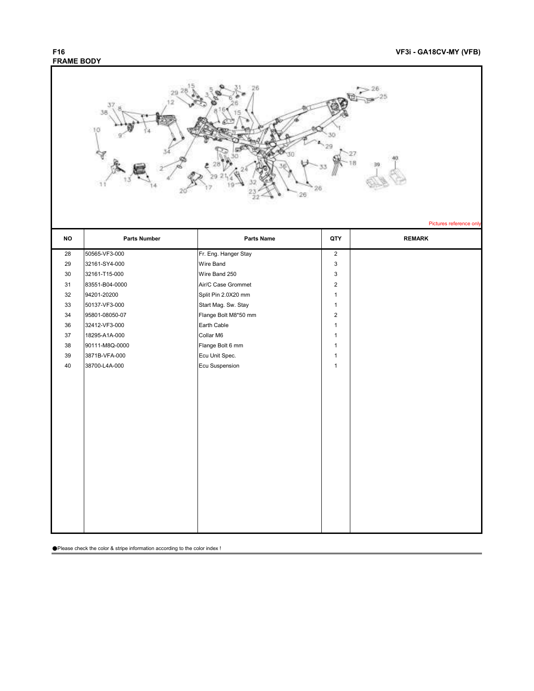## **FRAME BODY**

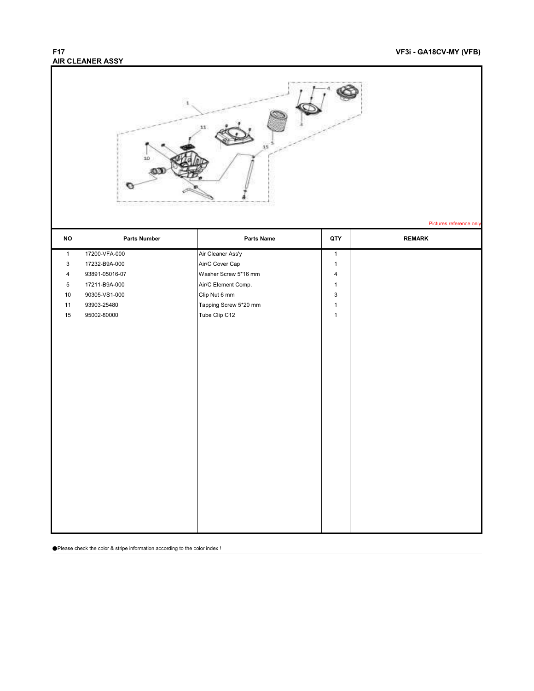## **AIR CLEANER ASSY**

### **F17 VF3i - GA18CV-MY (VFB)**

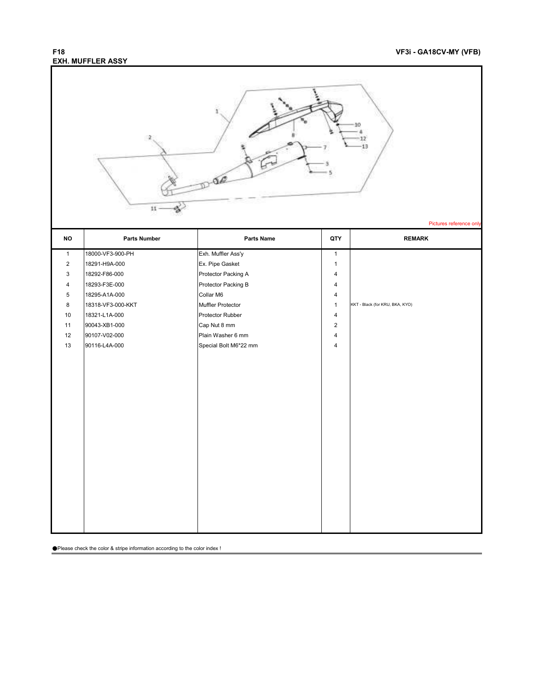## **EXH. MUFFLER ASSY**

### **F18 VF3i - GA18CV-MY (VFB)**

|                | $11\,$              |                       |                | Pictures reference only         |
|----------------|---------------------|-----------------------|----------------|---------------------------------|
| <b>NO</b>      | <b>Parts Number</b> | <b>Parts Name</b>     | QTY            | <b>REMARK</b>                   |
| $\mathbf{1}$   | 18000-VF3-900-PH    | Exh. Muffler Ass'y    | $\mathbf{1}$   |                                 |
| $\overline{2}$ | 18291-H9A-000       | Ex. Pipe Gasket       | $\mathbf{1}$   |                                 |
| 3              | 18292-F86-000       | Protector Packing A   | 4              |                                 |
| 4              | 18293-F3E-000       | Protector Packing B   | 4              |                                 |
| 5              | 18295-A1A-000       | Collar M6             | 4              |                                 |
| 8              | 18318-VF3-000-KKT   | Muffler Protector     | $\mathbf{1}$   | KKT - Black (for KRU, BKA, KYO) |
| 10             | 18321-L1A-000       | Protector Rubber      | $\overline{4}$ |                                 |
| 11             | 90043-XB1-000       | Cap Nut 8 mm          | $\overline{2}$ |                                 |
| 12             | 90107-V02-000       | Plain Washer 6 mm     | $\overline{4}$ |                                 |
| 13             | 90116-L4A-000       | Special Bolt M6*22 mm | $\overline{4}$ |                                 |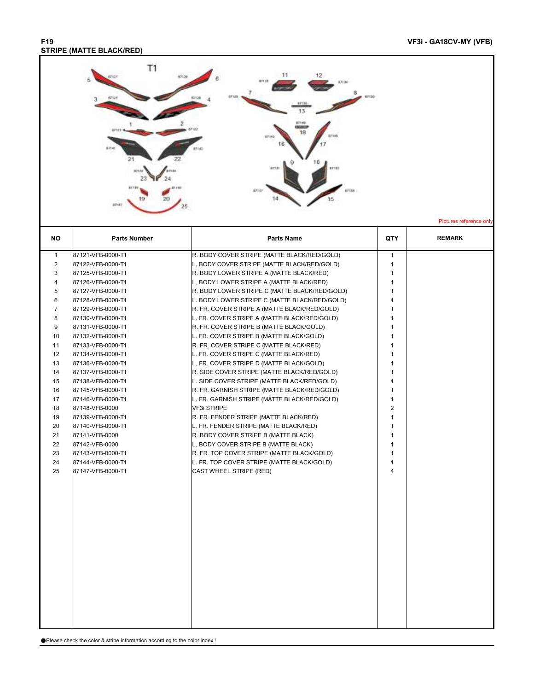#### **F19 VF3i - GA18CV-MY (VFB) STRIPE (MATTE BLACK/RED)**

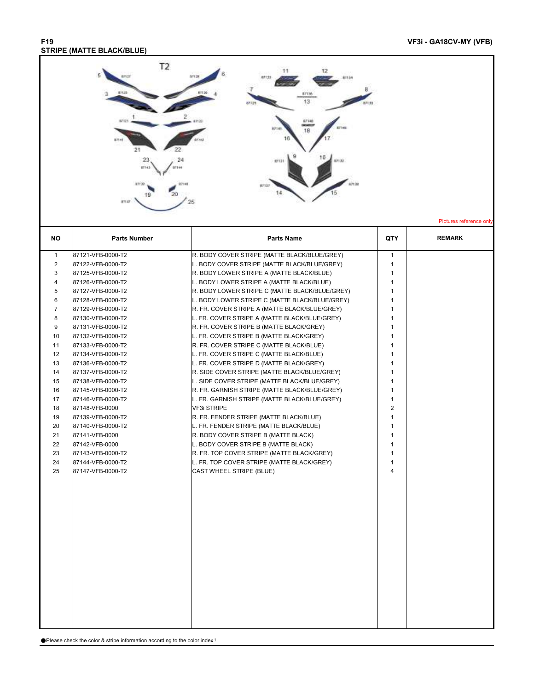#### **F19 VF3i - GA18CV-MY (VFB) STRIPE (MATTE BLACK/BLUE)**